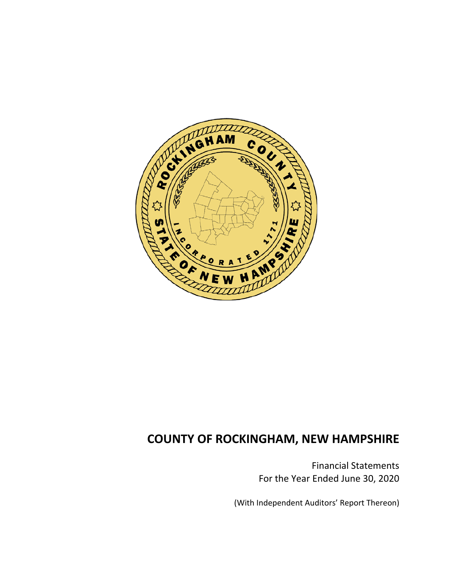

Financial Statements For the Year Ended June 30, 2020

(With Independent Auditors' Report Thereon)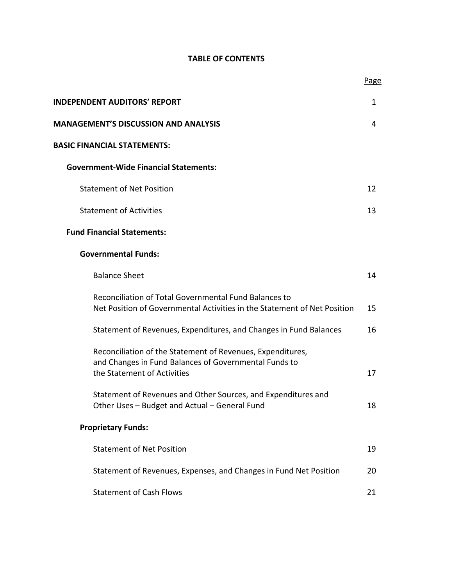# **TABLE OF CONTENTS**

|                                                                                                                                                    | Page |
|----------------------------------------------------------------------------------------------------------------------------------------------------|------|
| <b>INDEPENDENT AUDITORS' REPORT</b>                                                                                                                | 1    |
| <b>MANAGEMENT'S DISCUSSION AND ANALYSIS</b>                                                                                                        | 4    |
| <b>BASIC FINANCIAL STATEMENTS:</b>                                                                                                                 |      |
| <b>Government-Wide Financial Statements:</b>                                                                                                       |      |
| <b>Statement of Net Position</b>                                                                                                                   | 12   |
| <b>Statement of Activities</b>                                                                                                                     | 13   |
| <b>Fund Financial Statements:</b>                                                                                                                  |      |
| <b>Governmental Funds:</b>                                                                                                                         |      |
| <b>Balance Sheet</b>                                                                                                                               | 14   |
| Reconciliation of Total Governmental Fund Balances to<br>Net Position of Governmental Activities in the Statement of Net Position                  | 15   |
| Statement of Revenues, Expenditures, and Changes in Fund Balances                                                                                  | 16   |
| Reconciliation of the Statement of Revenues, Expenditures,<br>and Changes in Fund Balances of Governmental Funds to<br>the Statement of Activities | 17   |
| Statement of Revenues and Other Sources, and Expenditures and<br>Other Uses - Budget and Actual - General Fund                                     | 18   |
| <b>Proprietary Funds:</b>                                                                                                                          |      |
| <b>Statement of Net Position</b>                                                                                                                   | 19   |
| Statement of Revenues, Expenses, and Changes in Fund Net Position                                                                                  | 20   |
| <b>Statement of Cash Flows</b>                                                                                                                     | 21   |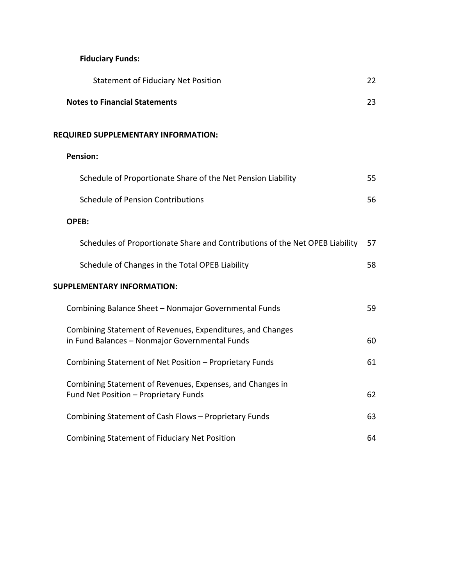# **Fiduciary Funds:**

| <b>Statement of Fiduciary Net Position</b>                                                                   | 22 |
|--------------------------------------------------------------------------------------------------------------|----|
| <b>Notes to Financial Statements</b>                                                                         | 23 |
| <b>REQUIRED SUPPLEMENTARY INFORMATION:</b>                                                                   |    |
| <b>Pension:</b>                                                                                              |    |
| Schedule of Proportionate Share of the Net Pension Liability                                                 | 55 |
| <b>Schedule of Pension Contributions</b>                                                                     | 56 |
| OPEB:                                                                                                        |    |
| Schedules of Proportionate Share and Contributions of the Net OPEB Liability                                 | 57 |
| Schedule of Changes in the Total OPEB Liability                                                              | 58 |
| <b>SUPPLEMENTARY INFORMATION:</b>                                                                            |    |
| Combining Balance Sheet - Nonmajor Governmental Funds                                                        | 59 |
| Combining Statement of Revenues, Expenditures, and Changes<br>in Fund Balances - Nonmajor Governmental Funds | 60 |
| Combining Statement of Net Position - Proprietary Funds                                                      | 61 |
| Combining Statement of Revenues, Expenses, and Changes in<br>Fund Net Position - Proprietary Funds           | 62 |
| Combining Statement of Cash Flows - Proprietary Funds                                                        | 63 |
| Combining Statement of Fiduciary Net Position                                                                | 64 |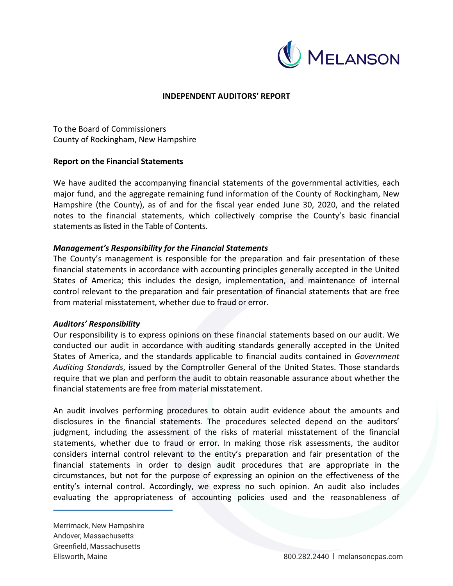

#### **INDEPENDENT AUDITORS' REPORT**

To the Board of Commissioners County of Rockingham, New Hampshire

#### **Report on the Financial Statements**

We have audited the accompanying financial statements of the governmental activities, each major fund, and the aggregate remaining fund information of the County of Rockingham, New Hampshire (the County), as of and for the fiscal year ended June 30, 2020, and the related notes to the financial statements, which collectively comprise the County's basic financial statements as listed in the Table of Contents.

#### *Management's Responsibility for the Financial Statements*

The County's management is responsible for the preparation and fair presentation of these financial statements in accordance with accounting principles generally accepted in the United States of America; this includes the design, implementation, and maintenance of internal control relevant to the preparation and fair presentation of financial statements that are free from material misstatement, whether due to fraud or error.

#### *Auditors' Responsibility*

Our responsibility is to express opinions on these financial statements based on our audit. We conducted our audit in accordance with auditing standards generally accepted in the United States of America, and the standards applicable to financial audits contained in *Government Auditing Standards*, issued by the Comptroller General of the United States. Those standards require that we plan and perform the audit to obtain reasonable assurance about whether the financial statements are free from material misstatement.

An audit involves performing procedures to obtain audit evidence about the amounts and disclosures in the financial statements. The procedures selected depend on the auditors' judgment, including the assessment of the risks of material misstatement of the financial statements, whether due to fraud or error. In making those risk assessments, the auditor considers internal control relevant to the entity's preparation and fair presentation of the financial statements in order to design audit procedures that are appropriate in the circumstances, but not for the purpose of expressing an opinion on the effectiveness of the entity's internal control. Accordingly, we express no such opinion. An audit also includes evaluating the appropriateness of accounting policies used and the reasonableness of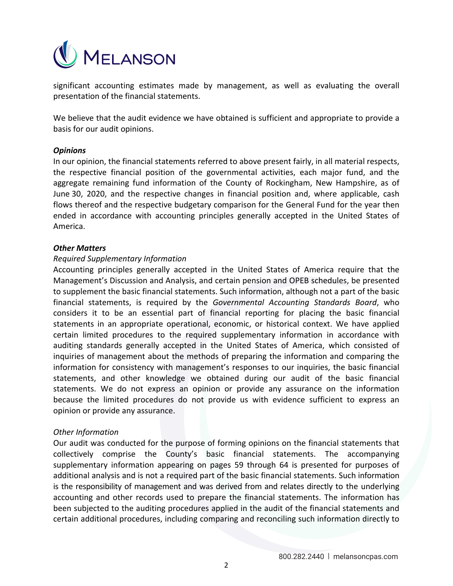

significant accounting estimates made by management, as well as evaluating the overall presentation of the financial statements.

We believe that the audit evidence we have obtained is sufficient and appropriate to provide a basis for our audit opinions.

#### *Opinions*

In our opinion, the financial statements referred to above present fairly, in all material respects, the respective financial position of the governmental activities, each major fund, and the aggregate remaining fund information of the County of Rockingham, New Hampshire, as of June 30, 2020, and the respective changes in financial position and, where applicable, cash flows thereof and the respective budgetary comparison for the General Fund for the year then ended in accordance with accounting principles generally accepted in the United States of America.

#### *Other Matters*

#### *Required Supplementary Information*

Accounting principles generally accepted in the United States of America require that the Management's Discussion and Analysis, and certain pension and OPEB schedules, be presented to supplement the basic financial statements. Such information, although not a part of the basic financial statements, is required by the *Governmental Accounting Standards Board*, who considers it to be an essential part of financial reporting for placing the basic financial statements in an appropriate operational, economic, or historical context. We have applied certain limited procedures to the required supplementary information in accordance with auditing standards generally accepted in the United States of America, which consisted of inquiries of management about the methods of preparing the information and comparing the information for consistency with management's responses to our inquiries, the basic financial statements, and other knowledge we obtained during our audit of the basic financial statements. We do not express an opinion or provide any assurance on the information because the limited procedures do not provide us with evidence sufficient to express an opinion or provide any assurance.

#### *Other Information*

Our audit was conducted for the purpose of forming opinions on the financial statements that collectively comprise the County's basic financial statements. The accompanying supplementary information appearing on pages 59 through 64 is presented for purposes of additional analysis and is not a required part of the basic financial statements. Such information is the responsibility of management and was derived from and relates directly to the underlying accounting and other records used to prepare the financial statements. The information has been subjected to the auditing procedures applied in the audit of the financial statements and certain additional procedures, including comparing and reconciling such information directly to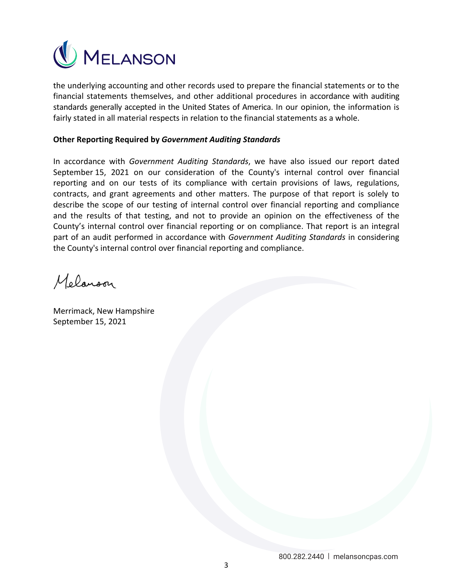

the underlying accounting and other records used to prepare the financial statements or to the financial statements themselves, and other additional procedures in accordance with auditing standards generally accepted in the United States of America. In our opinion, the information is fairly stated in all material respects in relation to the financial statements as a whole.

#### **Other Reporting Required by** *Government Auditing Standards*

In accordance with *Government Auditing Standards*, we have also issued our report dated September 15, 2021 on our consideration of the County's internal control over financial reporting and on our tests of its compliance with certain provisions of laws, regulations, contracts, and grant agreements and other matters. The purpose of that report is solely to describe the scope of our testing of internal control over financial reporting and compliance and the results of that testing, and not to provide an opinion on the effectiveness of the County's internal control over financial reporting or on compliance. That report is an integral part of an audit performed in accordance with *Government Auditing Standards* in considering the County's internal control over financial reporting and compliance.

Melanoon

Merrimack, New Hampshire September 15, 2021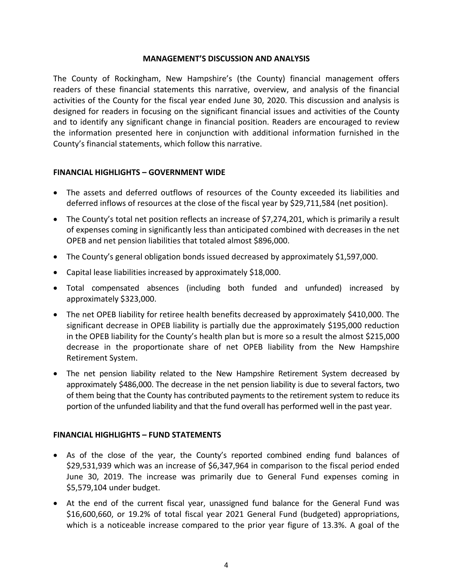## **MANAGEMENT'S DISCUSSION AND ANALYSIS**

The County of Rockingham, New Hampshire's (the County) financial management offers readers of these financial statements this narrative, overview, and analysis of the financial activities of the County for the fiscal year ended June 30, 2020. This discussion and analysis is designed for readers in focusing on the significant financial issues and activities of the County and to identify any significant change in financial position. Readers are encouraged to review the information presented here in conjunction with additional information furnished in the County's financial statements, which follow this narrative.

## **FINANCIAL HIGHLIGHTS – GOVERNMENT WIDE**

- The assets and deferred outflows of resources of the County exceeded its liabilities and deferred inflows of resources at the close of the fiscal year by \$29,711,584 (net position).
- The County's total net position reflects an increase of \$7,274,201, which is primarily a result of expenses coming in significantly less than anticipated combined with decreases in the net OPEB and net pension liabilities that totaled almost \$896,000.
- The County's general obligation bonds issued decreased by approximately \$1,597,000.
- Capital lease liabilities increased by approximately \$18,000.
- Total compensated absences (including both funded and unfunded) increased by approximately \$323,000.
- The net OPEB liability for retiree health benefits decreased by approximately \$410,000. The significant decrease in OPEB liability is partially due the approximately \$195,000 reduction in the OPEB liability for the County's health plan but is more so a result the almost \$215,000 decrease in the proportionate share of net OPEB liability from the New Hampshire Retirement System.
- The net pension liability related to the New Hampshire Retirement System decreased by approximately \$486,000. The decrease in the net pension liability is due to several factors, two of them being that the County has contributed payments to the retirement system to reduce its portion of the unfunded liability and that the fund overall has performed well in the past year.

## **FINANCIAL HIGHLIGHTS – FUND STATEMENTS**

- As of the close of the year, the County's reported combined ending fund balances of \$29,531,939 which was an increase of \$6,347,964 in comparison to the fiscal period ended June 30, 2019. The increase was primarily due to General Fund expenses coming in \$5,579,104 under budget.
- At the end of the current fiscal year, unassigned fund balance for the General Fund was \$16,600,660, or 19.2% of total fiscal year 2021 General Fund (budgeted) appropriations, which is a noticeable increase compared to the prior year figure of 13.3%. A goal of the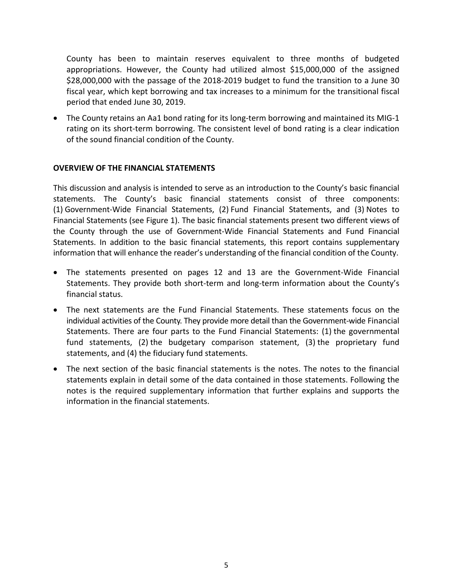County has been to maintain reserves equivalent to three months of budgeted appropriations. However, the County had utilized almost \$15,000,000 of the assigned \$28,000,000 with the passage of the 2018‐2019 budget to fund the transition to a June 30 fiscal year, which kept borrowing and tax increases to a minimum for the transitional fiscal period that ended June 30, 2019.

■ The County retains an Aa1 bond rating for its long-term borrowing and maintained its MIG-1 rating on its short-term borrowing. The consistent level of bond rating is a clear indication of the sound financial condition of the County.

# **OVERVIEW OF THE FINANCIAL STATEMENTS**

This discussion and analysis is intended to serve as an introduction to the County's basic financial statements. The County's basic financial statements consist of three components: (1) Government‐Wide Financial Statements, (2) Fund Financial Statements, and (3) Notes to Financial Statements (see Figure 1). The basic financial statements present two different views of the County through the use of Government‐Wide Financial Statements and Fund Financial Statements. In addition to the basic financial statements, this report contains supplementary information that will enhance the reader's understanding of the financial condition of the County.

- The statements presented on pages 12 and 13 are the Government-Wide Financial Statements. They provide both short-term and long-term information about the County's financial status.
- The next statements are the Fund Financial Statements. These statements focus on the individual activities of the County. They provide more detail than the Government‐wide Financial Statements. There are four parts to the Fund Financial Statements: (1) the governmental fund statements, (2) the budgetary comparison statement, (3) the proprietary fund statements, and (4) the fiduciary fund statements.
- The next section of the basic financial statements is the notes. The notes to the financial statements explain in detail some of the data contained in those statements. Following the notes is the required supplementary information that further explains and supports the information in the financial statements.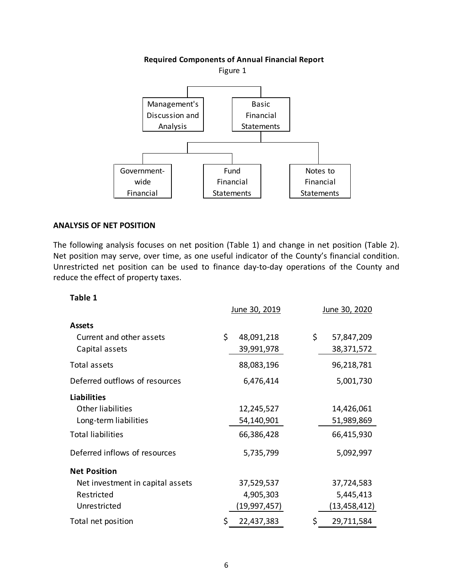#### **Required Components of Annual Financial Report**



#### **ANALYSIS OF NET POSITION**

The following analysis focuses on net position (Table 1) and change in net position (Table 2). Net position may serve, over time, as one useful indicator of the County's financial condition. Unrestricted net position can be used to finance day-to-day operations of the County and reduce the effect of property taxes.

#### **Table 1**

|                                                                                                                               |     | June 30, 2019                                       |     | June 30, 2020                                       |
|-------------------------------------------------------------------------------------------------------------------------------|-----|-----------------------------------------------------|-----|-----------------------------------------------------|
| <b>Assets</b><br>Current and other assets<br>Capital assets                                                                   | \$  | 48,091,218<br>39,991,978                            | \$. | 57,847,209<br>38,371,572                            |
| Total assets                                                                                                                  |     | 88,083,196                                          |     | 96,218,781                                          |
| Deferred outflows of resources                                                                                                |     | 6,476,414                                           |     | 5,001,730                                           |
| <b>Liabilities</b><br>Other liabilities<br>Long-term liabilities<br><b>Total liabilities</b><br>Deferred inflows of resources |     | 12,245,527<br>54,140,901<br>66,386,428<br>5,735,799 |     | 14,426,061<br>51,989,869<br>66,415,930<br>5,092,997 |
| <b>Net Position</b><br>Net investment in capital assets<br>Restricted<br>Unrestricted                                         |     | 37,529,537<br>4,905,303<br>(19,997,457)             |     | 37,724,583<br>5,445,413<br>(13, 458, 412)           |
| Total net position                                                                                                            | \$. | 22,437,383                                          | \$  | 29,711,584                                          |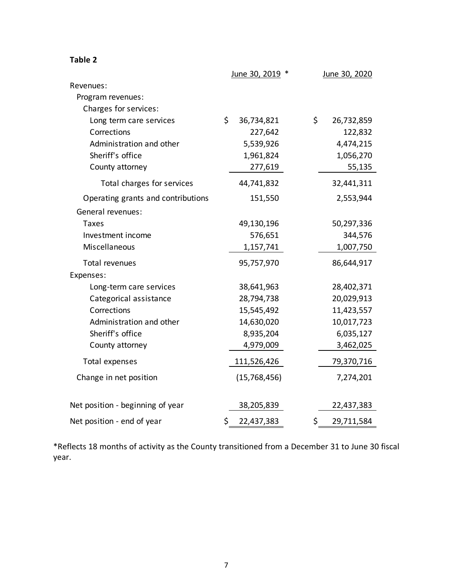# **Table 2**

|                                    | June 30, 2019 *<br>June 30, 2020 |  |                  |
|------------------------------------|----------------------------------|--|------------------|
| Revenues:                          |                                  |  |                  |
| Program revenues:                  |                                  |  |                  |
| Charges for services:              |                                  |  |                  |
| Long term care services            | \$<br>36,734,821                 |  | \$<br>26,732,859 |
| Corrections                        | 227,642                          |  | 122,832          |
| Administration and other           | 5,539,926                        |  | 4,474,215        |
| Sheriff's office                   | 1,961,824                        |  | 1,056,270        |
| County attorney                    | 277,619                          |  | 55,135           |
| Total charges for services         | 44,741,832                       |  | 32,441,311       |
| Operating grants and contributions | 151,550                          |  | 2,553,944        |
| General revenues:                  |                                  |  |                  |
| <b>Taxes</b>                       | 49,130,196                       |  | 50,297,336       |
| Investment income                  | 576,651                          |  | 344,576          |
| Miscellaneous                      | 1,157,741                        |  | 1,007,750        |
| Total revenues                     | 95,757,970                       |  | 86,644,917       |
| Expenses:                          |                                  |  |                  |
| Long-term care services            | 38,641,963                       |  | 28,402,371       |
| Categorical assistance             | 28,794,738                       |  | 20,029,913       |
| Corrections                        | 15,545,492                       |  | 11,423,557       |
| Administration and other           | 14,630,020                       |  | 10,017,723       |
| Sheriff's office                   | 8,935,204                        |  | 6,035,127        |
| County attorney                    | 4,979,009                        |  | 3,462,025        |
| Total expenses                     | 111,526,426                      |  | 79,370,716       |
| Change in net position             | (15,768,456)                     |  | 7,274,201        |
| Net position - beginning of year   | 38,205,839                       |  | 22,437,383       |
| Net position - end of year         | \$<br>22,437,383                 |  | \$<br>29,711,584 |

\*Reflects 18 months of activity as the County transitioned from a December 31 to June 30 fiscal year.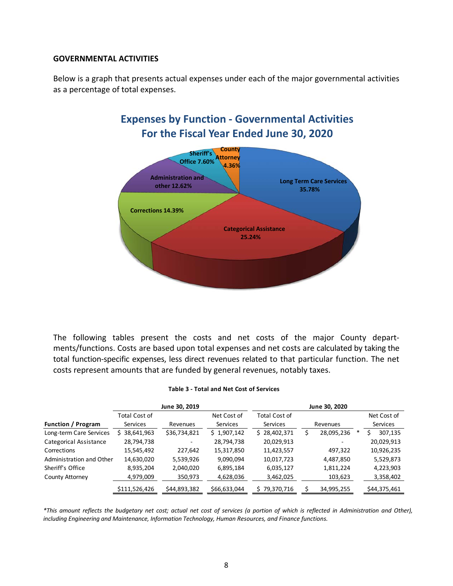## **GOVERNMENTAL ACTIVITIES**

Below is a graph that presents actual expenses under each of the major governmental activities as a percentage of total expenses.



The following tables present the costs and net costs of the major County departments/functions. Costs are based upon total expenses and net costs are calculated by taking the total function‐specific expenses, less direct revenues related to that particular function. The net costs represent amounts that are funded by general revenues, notably taxes.

|                           | June 30, 2019   |              |              | June 30, 2020        |   |            |   |                 |  |  |
|---------------------------|-----------------|--------------|--------------|----------------------|---|------------|---|-----------------|--|--|
|                           | Total Cost of   |              | Net Cost of  | <b>Total Cost of</b> |   |            |   | Net Cost of     |  |  |
| <b>Function / Program</b> | <b>Services</b> | Revenues     | Services     | Services             |   | Revenues   |   | <b>Services</b> |  |  |
| Long-term Care Services   | 38,641,963      | \$36,734,821 | \$1,907,142  | \$28,402,371         | S | 28,095,236 | * | 307,135         |  |  |
| Categorical Assistance    | 28,794,738      | -            | 28,794,738   | 20,029,913           |   |            |   | 20,029,913      |  |  |
| Corrections               | 15,545,492      | 227,642      | 15,317,850   | 11,423,557           |   | 497,322    |   | 10,926,235      |  |  |
| Administration and Other  | 14,630,020      | 5,539,926    | 9,090,094    | 10,017,723           |   | 4,487,850  |   | 5,529,873       |  |  |
| Sheriff's Office          | 8,935,204       | 2,040,020    | 6,895,184    | 6,035,127            |   | 1,811,224  |   | 4,223,903       |  |  |
| County Attorney           | 4,979,009       | 350,973      | 4,628,036    | 3,462,025            |   | 103,623    |   | 3,358,402       |  |  |
|                           | \$111,526,426   | \$44,893,382 | \$66,633,044 | \$79,370,716         |   | 34,995,255 |   | \$44,375,461    |  |  |

#### **Table 3 ‐ Total and Net Cost of Services**

*\*This amount reflects the budgetary net cost; actual net cost of services (a portion of which is reflected in Administration and Other), including Engineering and Maintenance, Information Technology, Human Resources, and Finance functions.*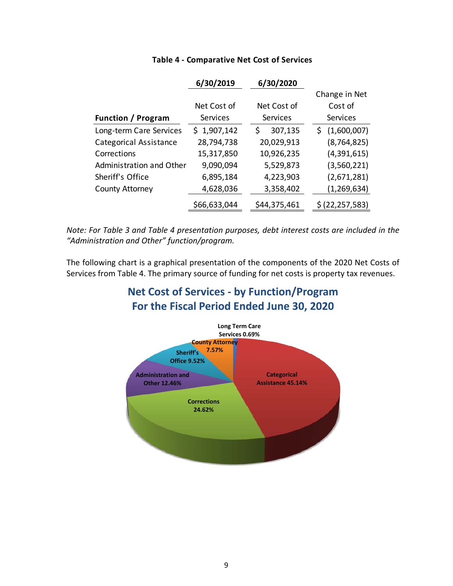|                                 | 6/30/2019    | 6/30/2020     |                   |
|---------------------------------|--------------|---------------|-------------------|
|                                 |              |               | Change in Net     |
|                                 | Net Cost of  | Net Cost of   | Cost of           |
| <b>Function / Program</b>       | Services     | Services      | Services          |
| Long-term Care Services         | \$1,907,142  | 307,135<br>\$ | (1,600,007)<br>S  |
| Categorical Assistance          | 28,794,738   | 20,029,913    | (8,764,825)       |
| Corrections                     | 15,317,850   | 10,926,235    | (4,391,615)       |
| <b>Administration and Other</b> | 9,090,094    | 5,529,873     | (3,560,221)       |
| Sheriff's Office                | 6,895,184    | 4,223,903     | (2,671,281)       |
| <b>County Attorney</b>          | 4,628,036    | 3,358,402     | (1,269,634)       |
|                                 | \$66,633,044 | \$44,375,461  | \$ (22, 257, 583) |

#### **Table 4 ‐ Comparative Net Cost of Services**

*Note: For Table 3 and Table 4 presentation purposes, debt interest costs are included in the "Administration and Other" function/program.* 

The following chart is a graphical presentation of the components of the 2020 Net Costs of Services from Table 4. The primary source of funding for net costs is property tax revenues.

# **Net Cost of Services ‐ by Function/Program For the Fiscal Period Ended June 30, 2020**

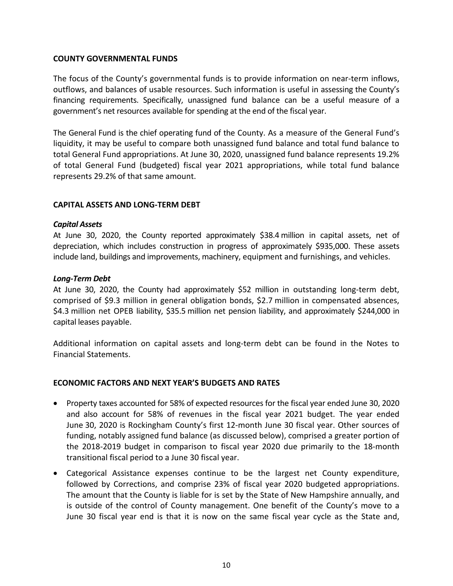#### **COUNTY GOVERNMENTAL FUNDS**

The focus of the County's governmental funds is to provide information on near-term inflows, outflows, and balances of usable resources. Such information is useful in assessing the County's financing requirements. Specifically, unassigned fund balance can be a useful measure of a government's net resources available for spending at the end of the fiscal year.

The General Fund is the chief operating fund of the County. As a measure of the General Fund's liquidity, it may be useful to compare both unassigned fund balance and total fund balance to total General Fund appropriations. At June 30, 2020, unassigned fund balance represents 19.2% of total General Fund (budgeted) fiscal year 2021 appropriations, while total fund balance represents 29.2% of that same amount.

## **CAPITAL ASSETS AND LONG‐TERM DEBT**

#### *Capital Assets*

At June 30, 2020, the County reported approximately \$38.4 million in capital assets, net of depreciation, which includes construction in progress of approximately \$935,000. These assets include land, buildings and improvements, machinery, equipment and furnishings, and vehicles.

#### *Long‐Term Debt*

At June 30, 2020, the County had approximately \$52 million in outstanding long-term debt, comprised of \$9.3 million in general obligation bonds, \$2.7 million in compensated absences, \$4.3 million net OPEB liability, \$35.5 million net pension liability, and approximately \$244,000 in capital leases payable.

Additional information on capital assets and long‐term debt can be found in the Notes to Financial Statements.

## **ECONOMIC FACTORS AND NEXT YEAR'S BUDGETS AND RATES**

- Property taxes accounted for 58% of expected resources for the fiscal year ended June 30, 2020 and also account for 58% of revenues in the fiscal year 2021 budget. The year ended June 30, 2020 is Rockingham County's first 12‐month June 30 fiscal year. Other sources of funding, notably assigned fund balance (as discussed below), comprised a greater portion of the 2018‐2019 budget in comparison to fiscal year 2020 due primarily to the 18‐month transitional fiscal period to a June 30 fiscal year.
- Categorical Assistance expenses continue to be the largest net County expenditure, followed by Corrections, and comprise 23% of fiscal year 2020 budgeted appropriations. The amount that the County is liable for is set by the State of New Hampshire annually, and is outside of the control of County management. One benefit of the County's move to a June 30 fiscal year end is that it is now on the same fiscal year cycle as the State and,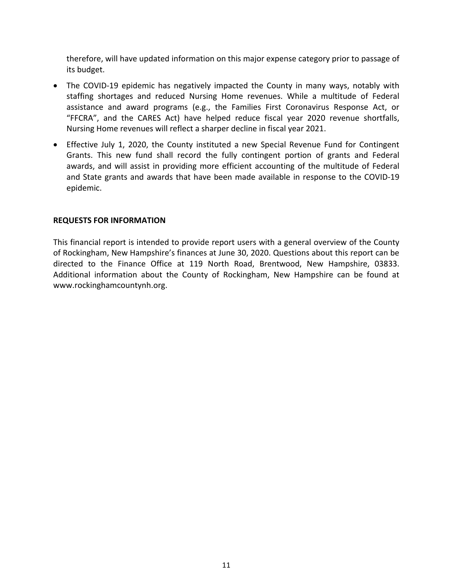therefore, will have updated information on this major expense category prior to passage of its budget.

- The COVID-19 epidemic has negatively impacted the County in many ways, notably with staffing shortages and reduced Nursing Home revenues. While a multitude of Federal assistance and award programs (e.g., the Families First Coronavirus Response Act, or "FFCRA", and the CARES Act) have helped reduce fiscal year 2020 revenue shortfalls, Nursing Home revenues will reflect a sharper decline in fiscal year 2021.
- Effective July 1, 2020, the County instituted a new Special Revenue Fund for Contingent Grants. This new fund shall record the fully contingent portion of grants and Federal awards, and will assist in providing more efficient accounting of the multitude of Federal and State grants and awards that have been made available in response to the COVID‐19 epidemic.

# **REQUESTS FOR INFORMATION**

This financial report is intended to provide report users with a general overview of the County of Rockingham, New Hampshire's finances at June 30, 2020. Questions about this report can be directed to the Finance Office at 119 North Road, Brentwood, New Hampshire, 03833. Additional information about the County of Rockingham, New Hampshire can be found at www.rockinghamcountynh.org.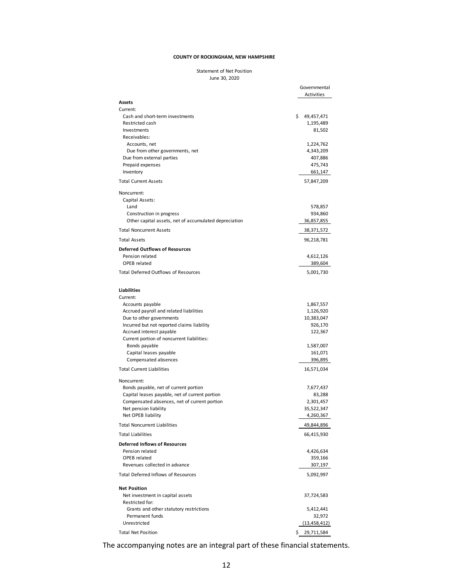#### Statement of Net Position June 30, 2020

|                                                                     | Governmental             |
|---------------------------------------------------------------------|--------------------------|
|                                                                     | Activities               |
| Assets<br>Current:                                                  |                          |
| Cash and short-term investments                                     | \$<br>49,457,471         |
| Restricted cash                                                     | 1,195,489                |
| Investments                                                         | 81,502                   |
| Receivables:                                                        |                          |
| Accounts, net                                                       | 1,224,762                |
| Due from other governments, net                                     | 4,343,209                |
| Due from external parties<br>Prepaid expenses                       | 407,886<br>475,743       |
| Inventory                                                           | 661,147                  |
| <b>Total Current Assets</b>                                         | 57,847,209               |
| Noncurrent:                                                         |                          |
| Capital Assets:                                                     |                          |
| Land                                                                | 578,857                  |
| Construction in progress                                            | 934,860                  |
| Other capital assets, net of accumulated depreciation               | 36,857,855               |
| <b>Total Noncurrent Assets</b>                                      | 38,371,572               |
| <b>Total Assets</b>                                                 | 96,218,781               |
| <b>Deferred Outflows of Resources</b>                               |                          |
| Pension related                                                     | 4,612,126                |
| <b>OPEB</b> related                                                 | 389,604                  |
| <b>Total Deferred Outflows of Resources</b>                         | 5,001,730                |
|                                                                     |                          |
| Liabilities                                                         |                          |
| Current:                                                            |                          |
| Accounts payable                                                    | 1,867,557                |
| Accrued payroll and related liabilities<br>Due to other governments | 1,126,920<br>10,383,047  |
| Incurred but not reported claims liability                          | 926,170                  |
| Accrued interest payable                                            | 122,367                  |
| Current portion of noncurrent liabilities:                          |                          |
| Bonds payable                                                       | 1,587,007                |
| Capital leases payable                                              | 161,071                  |
| Compensated absences                                                | 396,895                  |
| <b>Total Current Liabilities</b>                                    | 16,571,034               |
| Noncurrent:                                                         |                          |
| Bonds payable, net of current portion                               | 7,677,437                |
| Capital leases payable, net of current portion                      | 83,288                   |
| Compensated absences, net of current portion                        | 2,301,457                |
| Net pension liability                                               | 35,522,347               |
| Net OPEB liability                                                  | 4,260,367                |
| <b>Total Noncurrent Liabilities</b>                                 | 49,844,896               |
| <b>Total Liabilities</b>                                            | 66,415,930               |
| <b>Deferred Inflows of Resources</b>                                |                          |
| Pension related                                                     | 4,426,634                |
| OPEB related                                                        | 359,166                  |
| Revenues collected in advance                                       | 307,197                  |
| Total Deferred Inflows of Resources                                 | 5,092,997                |
| <b>Net Position</b>                                                 |                          |
| Net investment in capital assets                                    | 37,724,583               |
| Restricted for:                                                     |                          |
| Grants and other statutory restrictions                             | 5,412,441                |
| Permanent funds<br>Unrestricted                                     | 32,972<br>(13, 458, 412) |
|                                                                     |                          |
| <b>Total Net Position</b>                                           | \$29,711,584             |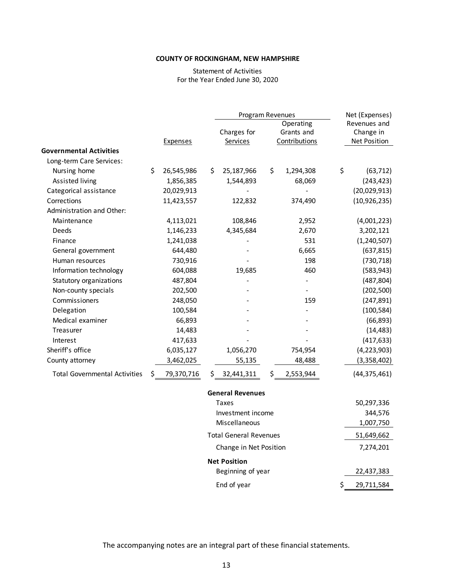#### For the Year Ended June 30, 2020 Statement of Activities

|                                      |                  | Program Revenues              | Net (Expenses)  |                 |
|--------------------------------------|------------------|-------------------------------|-----------------|-----------------|
|                                      |                  |                               | Operating       | Revenues and    |
|                                      |                  | Charges for                   | Grants and      | Change in       |
|                                      | <b>Expenses</b>  | Services                      | Contributions   | Net Position    |
| <b>Governmental Activities</b>       |                  |                               |                 |                 |
| Long-term Care Services:             |                  |                               |                 |                 |
| Nursing home                         | \$<br>26,545,986 | \$<br>25,187,966              | \$<br>1,294,308 | \$<br>(63, 712) |
| Assisted living                      | 1,856,385        | 1,544,893                     | 68,069          | (243, 423)      |
| Categorical assistance               | 20,029,913       |                               |                 | (20,029,913)    |
| Corrections                          | 11,423,557       | 122,832                       | 374,490         | (10, 926, 235)  |
| Administration and Other:            |                  |                               |                 |                 |
| Maintenance                          | 4,113,021        | 108,846                       | 2,952           | (4,001,223)     |
| Deeds                                | 1,146,233        | 4,345,684                     | 2,670           | 3,202,121       |
| Finance                              | 1,241,038        |                               | 531             | (1, 240, 507)   |
| General government                   | 644,480          |                               | 6,665           | (637, 815)      |
| Human resources                      | 730,916          |                               | 198             | (730, 718)      |
| Information technology               | 604,088          | 19,685                        | 460             | (583, 943)      |
| Statutory organizations              | 487,804          |                               |                 | (487, 804)      |
| Non-county specials                  | 202,500          |                               |                 | (202, 500)      |
| Commissioners                        | 248,050          |                               | 159             | (247, 891)      |
| Delegation                           | 100,584          |                               |                 | (100, 584)      |
| Medical examiner                     | 66,893           |                               |                 | (66, 893)       |
| Treasurer                            | 14,483           |                               |                 | (14, 483)       |
| Interest                             | 417,633          |                               |                 | (417, 633)      |
| Sheriff's office                     | 6,035,127        | 1,056,270                     | 754,954         | (4, 223, 903)   |
| County attorney                      | 3,462,025        | 55,135                        | 48,488          | (3,358,402)     |
| <b>Total Governmental Activities</b> | \$<br>79,370,716 | \$<br>32,441,311              | \$<br>2,553,944 | (44, 375, 461)  |
|                                      |                  | <b>General Revenues</b>       |                 |                 |
|                                      |                  | Taxes                         |                 | 50,297,336      |
|                                      |                  | Investment income             |                 | 344,576         |
|                                      |                  | Miscellaneous                 |                 | 1,007,750       |
|                                      |                  | <b>Total General Revenues</b> |                 | 51,649,662      |
|                                      |                  | Change in Net Position        |                 | 7,274,201       |
|                                      |                  | <b>Net Position</b>           |                 |                 |
|                                      |                  | Beginning of year             |                 | 22,437,383      |

The accompanying notes are an integral part of these financial statements.

End of year \$ 29,711,584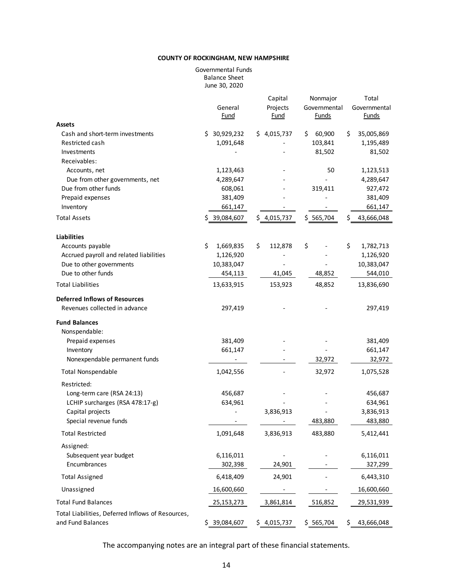Balance Sheet June 30, 2020 Governmental Funds

|                                                   |                   | Capital       | Nonmajor     | Total            |
|---------------------------------------------------|-------------------|---------------|--------------|------------------|
|                                                   | General           | Projects      | Governmental | Governmental     |
|                                                   | Fund              | Fund          | Funds        | Funds            |
| <b>Assets</b>                                     |                   |               |              |                  |
| Cash and short-term investments                   | 30,929,232<br>\$. | \$4,015,737   | 60,900<br>\$ | \$<br>35,005,869 |
| Restricted cash                                   | 1,091,648         |               | 103,841      | 1,195,489        |
| Investments                                       |                   |               | 81,502       | 81,502           |
| Receivables:                                      |                   |               |              |                  |
| Accounts, net                                     | 1,123,463         |               | 50           | 1,123,513        |
| Due from other governments, net                   | 4,289,647         |               |              | 4,289,647        |
| Due from other funds                              | 608,061           |               | 319,411      | 927,472          |
| Prepaid expenses                                  | 381,409           |               |              | 381,409          |
| Inventory                                         | 661,147           |               |              | 661,147          |
| <b>Total Assets</b>                               | \$39,084,607      | \$4,015,737   | \$565,704    | \$<br>43,666,048 |
| <b>Liabilities</b>                                |                   |               |              |                  |
| Accounts payable                                  | \$<br>1,669,835   | \$<br>112,878 | \$           | \$<br>1,782,713  |
| Accrued payroll and related liabilities           | 1,126,920         |               |              | 1,126,920        |
| Due to other governments                          | 10,383,047        |               |              | 10,383,047       |
| Due to other funds                                | 454,113           | 41,045        | 48,852       | 544,010          |
| <b>Total Liabilities</b>                          | 13,633,915        | 153,923       | 48,852       | 13,836,690       |
| <b>Deferred Inflows of Resources</b>              |                   |               |              |                  |
| Revenues collected in advance                     | 297,419           |               |              | 297,419          |
| <b>Fund Balances</b>                              |                   |               |              |                  |
| Nonspendable:                                     |                   |               |              |                  |
| Prepaid expenses                                  | 381,409           |               |              | 381,409          |
| Inventory                                         | 661,147           |               |              | 661,147          |
| Nonexpendable permanent funds                     |                   |               | 32,972       | 32,972           |
| <b>Total Nonspendable</b>                         | 1,042,556         |               | 32,972       | 1,075,528        |
| Restricted:                                       |                   |               |              |                  |
| Long-term care (RSA 24:13)                        | 456,687           |               |              | 456,687          |
| LCHIP surcharges (RSA 478:17-g)                   | 634,961           |               |              | 634,961          |
| Capital projects                                  |                   | 3,836,913     |              | 3,836,913        |
| Special revenue funds                             |                   |               | 483,880      | 483,880          |
| <b>Total Restricted</b>                           | 1,091,648         | 3,836,913     | 483,880      | 5,412,441        |
| Assigned:                                         |                   |               |              |                  |
| Subsequent year budget                            | 6,116,011         |               |              | 6,116,011        |
| Encumbrances                                      | 302,398           | 24,901        |              | 327,299          |
| <b>Total Assigned</b>                             | 6,418,409         | 24,901        |              | 6,443,310        |
| Unassigned                                        | 16,600,660        |               |              | 16,600,660       |
| <b>Total Fund Balances</b>                        | 25,153,273        | 3,861,814     | 516,852      | 29,531,939       |
| Total Liabilities, Deferred Inflows of Resources, |                   |               |              |                  |
| and Fund Balances                                 | \$39,084,607      | \$4,015,737   | \$565,704    | \$43,666,048     |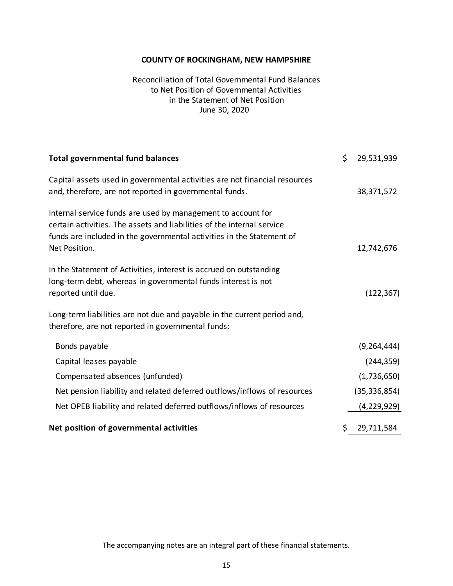June 30, 2020 Reconciliation of Total Governmental Fund Balances to Net Position of Governmental Activities in the Statement of Net Position

| <b>Total governmental fund balances</b>                                                                                                                                                                                          | \$<br>29,531,939 |
|----------------------------------------------------------------------------------------------------------------------------------------------------------------------------------------------------------------------------------|------------------|
| Capital assets used in governmental activities are not financial resources<br>and, therefore, are not reported in governmental funds.                                                                                            | 38,371,572       |
| Internal service funds are used by management to account for<br>certain activities. The assets and liabilities of the internal service<br>funds are included in the governmental activities in the Statement of<br>Net Position. | 12,742,676       |
| In the Statement of Activities, interest is accrued on outstanding<br>long-term debt, whereas in governmental funds interest is not<br>reported until due.                                                                       | (122, 367)       |
| Long-term liabilities are not due and payable in the current period and,<br>therefore, are not reported in governmental funds:                                                                                                   |                  |
| Bonds payable                                                                                                                                                                                                                    | (9, 264, 444)    |
| Capital leases payable                                                                                                                                                                                                           | (244, 359)       |
| Compensated absences (unfunded)                                                                                                                                                                                                  | (1,736,650)      |
| Net pension liability and related deferred outflows/inflows of resources                                                                                                                                                         | (35, 336, 854)   |
| Net OPEB liability and related deferred outflows/inflows of resources                                                                                                                                                            | (4,229,929)      |
| Net position of governmental activities                                                                                                                                                                                          | 29,711,584       |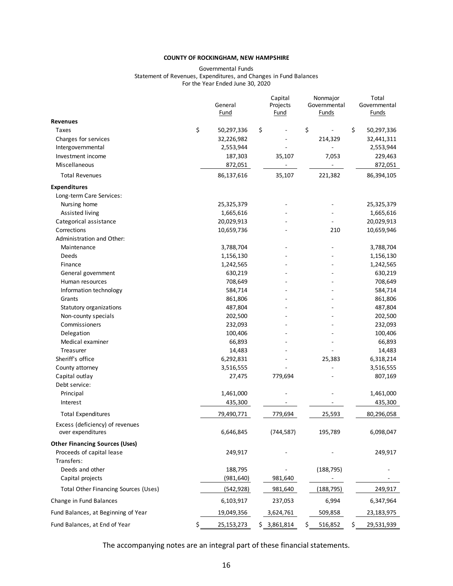#### Governmental Funds Statement of Revenues, Expenditures, and Changes in Fund Balances For the Year Ended June 30, 2020

|                                         | General<br>Fund    | Capital<br>Projects<br>Fund | Nonmajor<br>Governmental<br>Funds | Total<br>Governmental<br><b>Funds</b> |
|-----------------------------------------|--------------------|-----------------------------|-----------------------------------|---------------------------------------|
| <b>Revenues</b>                         |                    |                             |                                   |                                       |
| <b>Taxes</b>                            | \$<br>50,297,336   | \$                          | \$                                | \$<br>50,297,336                      |
| Charges for services                    | 32,226,982         |                             | 214,329                           | 32,441,311                            |
| Intergovernmental                       | 2,553,944          |                             |                                   | 2,553,944                             |
| Investment income                       | 187,303            | 35,107                      | 7,053                             | 229,463                               |
| Miscellaneous                           | 872,051            |                             |                                   | 872,051                               |
| <b>Total Revenues</b>                   | 86,137,616         | 35,107                      | 221,382                           | 86,394,105                            |
| <b>Expenditures</b>                     |                    |                             |                                   |                                       |
| Long-term Care Services:                |                    |                             |                                   |                                       |
| Nursing home                            | 25,325,379         |                             |                                   | 25,325,379                            |
| Assisted living                         | 1,665,616          |                             |                                   | 1,665,616                             |
| Categorical assistance                  | 20,029,913         |                             |                                   | 20,029,913                            |
| Corrections                             | 10,659,736         |                             | 210                               | 10,659,946                            |
| Administration and Other:               |                    |                             |                                   |                                       |
| Maintenance                             | 3,788,704          |                             |                                   | 3,788,704                             |
| Deeds                                   | 1,156,130          |                             |                                   | 1,156,130                             |
| Finance                                 | 1,242,565          |                             |                                   | 1,242,565                             |
| General government                      | 630,219            |                             |                                   | 630,219                               |
| Human resources                         | 708,649            |                             |                                   | 708,649                               |
| Information technology                  | 584,714            |                             |                                   | 584,714                               |
| Grants                                  | 861,806            |                             |                                   | 861,806                               |
| Statutory organizations                 | 487,804            |                             |                                   | 487,804                               |
| Non-county specials                     | 202,500            |                             |                                   | 202,500                               |
| Commissioners                           | 232,093            |                             |                                   | 232,093                               |
| Delegation                              | 100,406            |                             |                                   | 100,406                               |
| Medical examiner                        | 66,893             |                             |                                   | 66,893                                |
| Treasurer                               | 14,483             |                             |                                   | 14,483                                |
| Sheriff's office                        | 6,292,831          |                             | 25,383                            | 6,318,214                             |
| County attorney                         | 3,516,555          |                             |                                   | 3,516,555                             |
| Capital outlay                          | 27,475             | 779,694                     |                                   | 807,169                               |
| Debt service:                           |                    |                             |                                   |                                       |
| Principal                               | 1,461,000          |                             |                                   | 1,461,000                             |
| Interest                                | 435,300            |                             |                                   | 435,300                               |
| <b>Total Expenditures</b>               | 79,490,771         | 779,694                     | 25,593                            | 80,296,058                            |
| Excess (deficiency) of revenues         |                    |                             |                                   |                                       |
| over expenditures                       | 6,646,845          | (744, 587)                  | 195,789                           | 6,098,047                             |
| <b>Other Financing Sources (Uses)</b>   |                    |                             |                                   |                                       |
| Proceeds of capital lease<br>Transfers: | 249,917            |                             |                                   | 249,917                               |
| Deeds and other                         | 188,795            |                             | (188, 795)                        |                                       |
| Capital projects                        | (981, 640)         | 981,640                     |                                   |                                       |
| Total Other Financing Sources (Uses)    | (542, 928)         | 981,640                     | (188, 795)                        | 249,917                               |
| Change in Fund Balances                 | 6,103,917          | 237,053                     | 6,994                             | 6,347,964                             |
| Fund Balances, at Beginning of Year     | 19,049,356         | 3,624,761                   | 509,858                           | 23,183,975                            |
| Fund Balances, at End of Year           | \$<br>25, 153, 273 | \$3,861,814                 | \$<br>516,852                     | \$<br>29,531,939                      |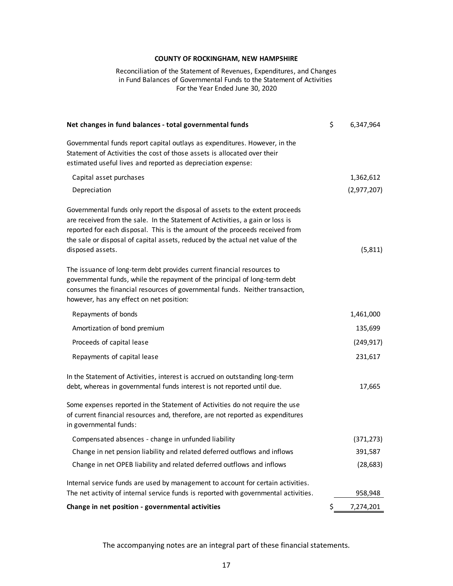For the Year Ended June 30, 2020 Reconciliation of the Statement of Revenues, Expenditures, and Changes in Fund Balances of Governmental Funds to the Statement of Activities

| Net changes in fund balances - total governmental funds                                                                                                                                                                                                                                                                         | \$<br>6,347,964 |
|---------------------------------------------------------------------------------------------------------------------------------------------------------------------------------------------------------------------------------------------------------------------------------------------------------------------------------|-----------------|
| Governmental funds report capital outlays as expenditures. However, in the<br>Statement of Activities the cost of those assets is allocated over their<br>estimated useful lives and reported as depreciation expense:                                                                                                          |                 |
| Capital asset purchases                                                                                                                                                                                                                                                                                                         | 1,362,612       |
| Depreciation                                                                                                                                                                                                                                                                                                                    | (2,977,207)     |
| Governmental funds only report the disposal of assets to the extent proceeds<br>are received from the sale. In the Statement of Activities, a gain or loss is<br>reported for each disposal. This is the amount of the proceeds received from<br>the sale or disposal of capital assets, reduced by the actual net value of the |                 |
| disposed assets.                                                                                                                                                                                                                                                                                                                | (5, 811)        |
| The issuance of long-term debt provides current financial resources to<br>governmental funds, while the repayment of the principal of long-term debt<br>consumes the financial resources of governmental funds. Neither transaction,<br>however, has any effect on net position:                                                |                 |
| Repayments of bonds                                                                                                                                                                                                                                                                                                             | 1,461,000       |
| Amortization of bond premium                                                                                                                                                                                                                                                                                                    | 135,699         |
| Proceeds of capital lease                                                                                                                                                                                                                                                                                                       | (249, 917)      |
| Repayments of capital lease                                                                                                                                                                                                                                                                                                     | 231,617         |
| In the Statement of Activities, interest is accrued on outstanding long-term<br>debt, whereas in governmental funds interest is not reported until due.                                                                                                                                                                         | 17,665          |
| Some expenses reported in the Statement of Activities do not require the use<br>of current financial resources and, therefore, are not reported as expenditures<br>in governmental funds:                                                                                                                                       |                 |
| Compensated absences - change in unfunded liability                                                                                                                                                                                                                                                                             | (371, 273)      |
| Change in net pension liability and related deferred outflows and inflows                                                                                                                                                                                                                                                       | 391,587         |
| Change in net OPEB liability and related deferred outflows and inflows                                                                                                                                                                                                                                                          | (28, 683)       |
| Internal service funds are used by management to account for certain activities.<br>The net activity of internal service funds is reported with governmental activities.                                                                                                                                                        | 958,948         |
| Change in net position - governmental activities                                                                                                                                                                                                                                                                                | \$<br>7,274,201 |
|                                                                                                                                                                                                                                                                                                                                 |                 |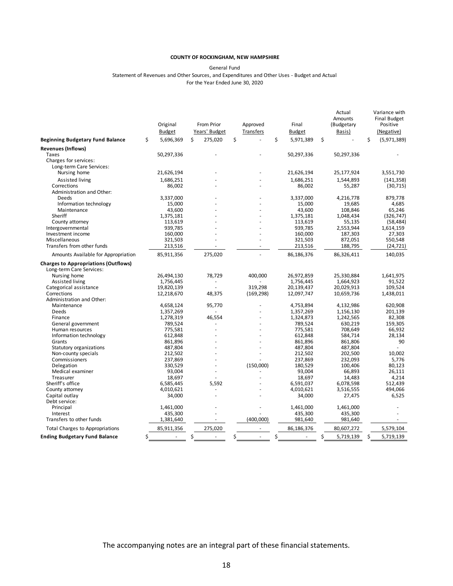#### General Fund

For the Year Ended June 30, 2020 Statement of Revenues and Other Sources, and Expenditures and Other Uses ‐ Budget and Actual

|                                             | Original         | <b>From Prior</b> | Approved             | Final           | Actual<br>Amounts<br>(Budgetary | Variance with<br><b>Final Budget</b><br>Positive |
|---------------------------------------------|------------------|-------------------|----------------------|-----------------|---------------------------------|--------------------------------------------------|
|                                             | <b>Budget</b>    | Years' Budget     | Transfers            | Budget          | Basis)                          | (Negative)                                       |
| <b>Beginning Budgetary Fund Balance</b>     | \$.<br>5,696,369 | S.<br>275,020     | \$<br>$\overline{a}$ | \$<br>5,971,389 | \$                              | \$<br>(5,971,389)                                |
| <b>Revenues (Inflows)</b>                   |                  |                   |                      |                 |                                 |                                                  |
| Taxes                                       | 50,297,336       |                   |                      | 50,297,336      | 50,297,336                      |                                                  |
| Charges for services:                       |                  |                   |                      |                 |                                 |                                                  |
| Long-term Care Services:                    |                  |                   |                      |                 |                                 |                                                  |
| Nursing home                                | 21,626,194       |                   |                      | 21,626,194      | 25,177,924                      | 3,551,730                                        |
| Assisted living                             | 1,686,251        |                   |                      | 1,686,251       | 1,544,893                       | (141, 358)                                       |
| Corrections                                 | 86,002           |                   |                      | 86,002          | 55,287                          | (30, 715)                                        |
| Administration and Other:                   |                  |                   |                      |                 |                                 |                                                  |
| Deeds                                       | 3,337,000        |                   |                      | 3,337,000       | 4,216,778                       | 879,778                                          |
| Information technology                      | 15,000           |                   |                      | 15,000          | 19,685                          | 4,685                                            |
| Maintenance                                 | 43,600           |                   |                      | 43,600          | 108,846                         | 65,246                                           |
| Sheriff                                     | 1,375,181        |                   |                      | 1,375,181       | 1,048,434                       | (326, 747)                                       |
| County attorney                             | 113,619          |                   |                      | 113,619         | 55,135                          | (58, 484)                                        |
| Intergovernmental                           | 939,785          |                   |                      | 939,785         | 2,553,944                       | 1,614,159                                        |
| Investment income                           | 160,000          |                   |                      | 160,000         | 187,303                         | 27,303                                           |
| Miscellaneous                               |                  |                   |                      |                 |                                 |                                                  |
| Transfers from other funds                  | 321,503          |                   |                      | 321,503         | 872,051                         | 550,548                                          |
|                                             | 213,516          |                   |                      | 213,516         | 188,795                         | (24, 721)                                        |
| Amounts Available for Appropriation         | 85,911,356       | 275,020           |                      | 86,186,376      | 86,326,411                      | 140,035                                          |
| <b>Charges to Appropriations (Outflows)</b> |                  |                   |                      |                 |                                 |                                                  |
| Long-term Care Services:                    |                  |                   |                      |                 |                                 |                                                  |
| Nursing home                                | 26,494,130       | 78,729            | 400,000              | 26,972,859      | 25,330,884                      | 1,641,975                                        |
| Assisted living                             | 1.756.445        |                   |                      | 1,756,445       | 1.664.923                       | 91.522                                           |
| Categorical assistance                      | 19,820,139       |                   | 319.298              | 20,139,437      | 20,029,913                      | 109,524                                          |
| Corrections                                 | 12,218,670       | 48,375            | (169, 298)           | 12,097,747      | 10,659,736                      | 1,438,011                                        |
| Administration and Other:                   |                  |                   |                      |                 |                                 |                                                  |
| Maintenance                                 | 4,658,124        | 95,770            |                      | 4,753,894       | 4,132,986                       | 620,908                                          |
| Deeds                                       | 1,357,269        |                   |                      | 1,357,269       | 1,156,130                       | 201,139                                          |
| Finance                                     | 1,278,319        | 46,554            |                      | 1,324,873       | 1,242,565                       | 82,308                                           |
| General government                          | 789,524          |                   |                      | 789,524         | 630,219                         | 159,305                                          |
| Human resources                             | 775,581          |                   |                      | 775,581         | 708,649                         | 66,932                                           |
| Information technology                      | 612,848          |                   |                      | 612,848         | 584,714                         | 28,134                                           |
| Grants                                      | 861,896          |                   |                      | 861,896         | 861,806                         | 90                                               |
| Statutory organizations                     | 487,804          |                   |                      | 487,804         | 487,804                         |                                                  |
| Non-county specials                         | 212,502          |                   |                      | 212,502         | 202,500                         | 10,002                                           |
| Commissioners                               | 237,869          |                   |                      | 237,869         | 232,093                         | 5,776                                            |
| Delegation                                  | 330,529          |                   | (150,000)            | 180,529         | 100,406                         | 80,123                                           |
| Medical examiner                            | 93,004           |                   |                      | 93,004          | 66,893                          | 26,111                                           |
| Treasurer                                   | 18,697           |                   |                      | 18,697          | 14,483                          | 4,214                                            |
| Sheriff's office                            | 6,585,445        | 5,592             |                      | 6,591,037       | 6,078,598                       | 512,439                                          |
| County attorney                             | 4,010,621        |                   |                      | 4,010,621       | 3,516,555                       | 494,066                                          |
| Capital outlay                              | 34,000           |                   |                      | 34,000          | 27,475                          | 6,525                                            |
| Debt service:                               |                  |                   |                      |                 |                                 |                                                  |
| Principal                                   | 1,461,000        |                   |                      | 1,461,000       | 1,461,000                       |                                                  |
| Interest                                    | 435,300          |                   |                      | 435,300         | 435,300                         |                                                  |
| Transfers to other funds                    | 1,381,640        |                   | (400,000)            | 981,640         | 981,640                         | $\overline{\phantom{0}}$                         |
| Total Charges to Appropriations             | 85,911,356       | 275,020           |                      | 86,186,376      | 80,607,272                      | 5,579,104                                        |
| <b>Ending Budgetary Fund Balance</b>        | \$               | \$                | \$<br>ä,             | \$              | \$<br>5,719,139                 | \$<br>5,719,139                                  |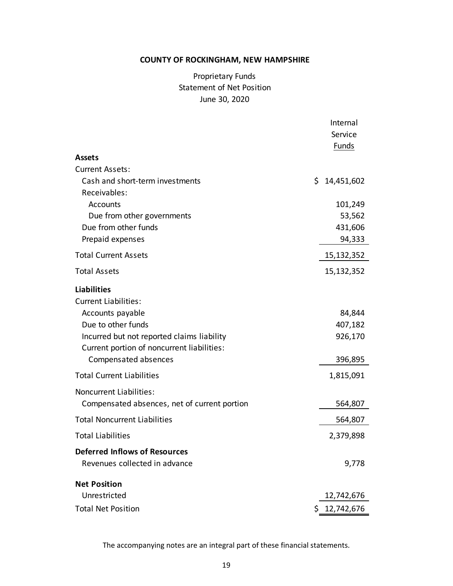# Proprietary Funds Statement of Net Position June 30, 2020

|                                              | Internal         |
|----------------------------------------------|------------------|
|                                              | Service          |
|                                              | Funds            |
| <b>Assets</b>                                |                  |
| <b>Current Assets:</b>                       |                  |
| Cash and short-term investments              | \$<br>14,451,602 |
| Receivables:                                 |                  |
| <b>Accounts</b>                              | 101,249          |
| Due from other governments                   | 53,562           |
| Due from other funds                         | 431,606          |
| Prepaid expenses                             | 94,333           |
| <b>Total Current Assets</b>                  | 15,132,352       |
| <b>Total Assets</b>                          | 15,132,352       |
| <b>Liabilities</b>                           |                  |
| <b>Current Liabilities:</b>                  |                  |
| Accounts payable                             | 84,844           |
| Due to other funds                           | 407,182          |
| Incurred but not reported claims liability   | 926,170          |
| Current portion of noncurrent liabilities:   |                  |
| Compensated absences                         | 396,895          |
| <b>Total Current Liabilities</b>             | 1,815,091        |
| <b>Noncurrent Liabilities:</b>               |                  |
| Compensated absences, net of current portion | 564,807          |
| <b>Total Noncurrent Liabilities</b>          | 564,807          |
| <b>Total Liabilities</b>                     | 2,379,898        |
| <b>Deferred Inflows of Resources</b>         |                  |
| Revenues collected in advance                | 9,778            |
| <b>Net Position</b>                          |                  |
| Unrestricted                                 | 12,742,676       |
| <b>Total Net Position</b>                    | \$12,742,676     |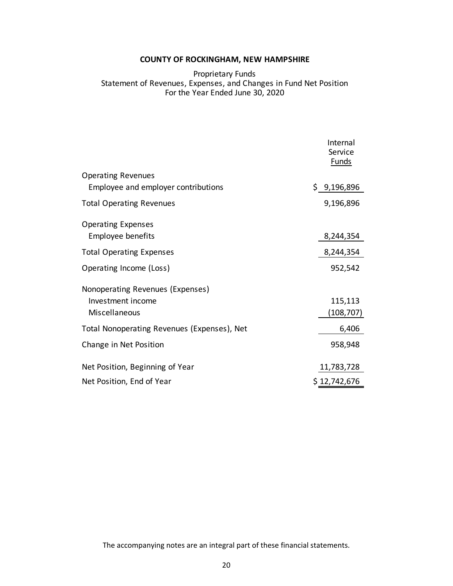## Proprietary Funds Statement of Revenues, Expenses, and Changes in Fund Net Position For the Year Ended June 30, 2020

|                                             | Internal<br>Service<br>Funds |
|---------------------------------------------|------------------------------|
| <b>Operating Revenues</b>                   |                              |
| Employee and employer contributions         | \$9,196,896                  |
| <b>Total Operating Revenues</b>             | 9,196,896                    |
| <b>Operating Expenses</b>                   |                              |
| Employee benefits                           | 8,244,354                    |
| <b>Total Operating Expenses</b>             | 8,244,354                    |
| Operating Income (Loss)                     | 952,542                      |
| Nonoperating Revenues (Expenses)            |                              |
| Investment income                           | 115,113                      |
| Miscellaneous                               | (108,707)                    |
| Total Nonoperating Revenues (Expenses), Net | 6,406                        |
| Change in Net Position                      | 958,948                      |
| Net Position, Beginning of Year             | 11,783,728                   |
| Net Position, End of Year                   | \$12,742,676                 |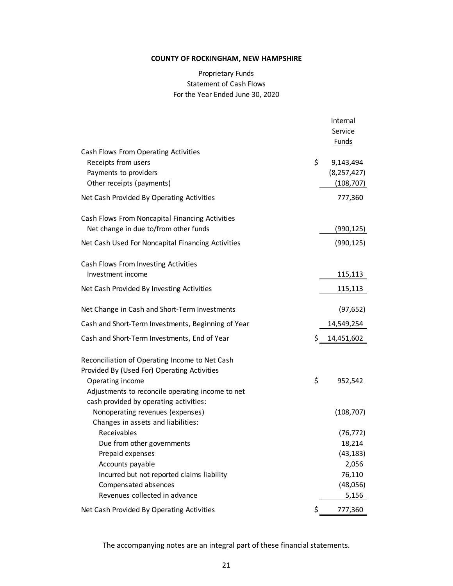# Proprietary Funds Statement of Cash Flows For the Year Ended June 30, 2020

|                                                                                          |     | Internal<br>Service<br>Funds |
|------------------------------------------------------------------------------------------|-----|------------------------------|
| Cash Flows From Operating Activities                                                     |     |                              |
| Receipts from users                                                                      | \$  | 9,143,494                    |
| Payments to providers<br>Other receipts (payments)                                       |     | (8, 257, 427)<br>(108, 707)  |
|                                                                                          |     |                              |
| Net Cash Provided By Operating Activities                                                |     | 777,360                      |
| Cash Flows From Noncapital Financing Activities<br>Net change in due to/from other funds |     | (990,125)                    |
| Net Cash Used For Noncapital Financing Activities                                        |     | (990, 125)                   |
| Cash Flows From Investing Activities                                                     |     |                              |
| Investment income                                                                        |     | 115,113                      |
| Net Cash Provided By Investing Activities                                                |     | 115,113                      |
| Net Change in Cash and Short-Term Investments                                            |     | (97, 652)                    |
| Cash and Short-Term Investments, Beginning of Year                                       |     | 14,549,254                   |
| Cash and Short-Term Investments, End of Year                                             | \$. | 14,451,602                   |
| Reconciliation of Operating Income to Net Cash                                           |     |                              |
| Provided By (Used For) Operating Activities                                              |     |                              |
| Operating income                                                                         | \$  | 952,542                      |
| Adjustments to reconcile operating income to net                                         |     |                              |
| cash provided by operating activities:<br>Nonoperating revenues (expenses)               |     | (108, 707)                   |
| Changes in assets and liabilities:                                                       |     |                              |
| Receivables                                                                              |     | (76,772)                     |
| Due from other governments                                                               |     | 18,214                       |
| Prepaid expenses                                                                         |     | (43, 183)                    |
| Accounts payable                                                                         |     | 2,056                        |
| Incurred but not reported claims liability                                               |     | 76,110                       |
| Compensated absences<br>Revenues collected in advance                                    |     | (48,056)<br>5,156            |
|                                                                                          |     |                              |
| Net Cash Provided By Operating Activities                                                | \$  | 777,360                      |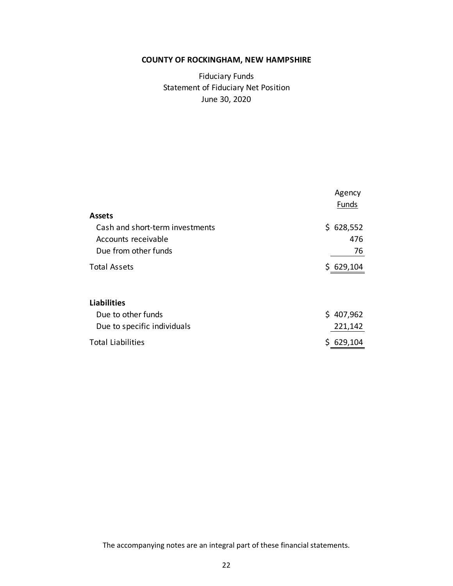Fiduciary Funds Statement of Fiduciary Net Position June 30, 2020

|                                 | Agency<br>Funds |
|---------------------------------|-----------------|
| <b>Assets</b>                   |                 |
| Cash and short-term investments | 628,552<br>S.   |
| Accounts receivable             | 476             |
| Due from other funds            | 76              |
| <b>Total Assets</b>             | 629,104<br>S.   |
| <b>Liabilities</b>              |                 |
| Due to other funds              | \$407,962       |
| Due to specific individuals     | 221,142         |
| <b>Total Liabilities</b>        | 629,104<br>S    |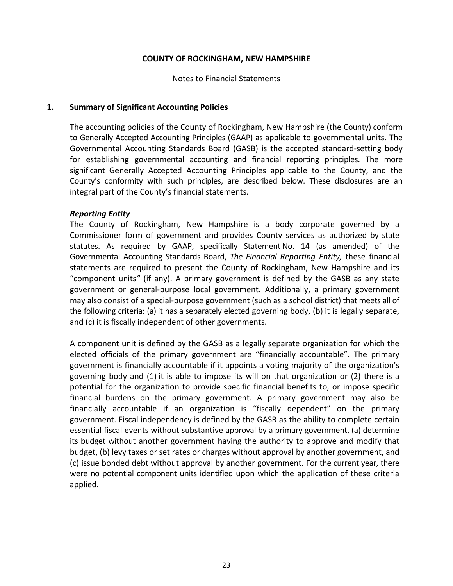Notes to Financial Statements

#### **1. Summary of Significant Accounting Policies**

The accounting policies of the County of Rockingham, New Hampshire (the County) conform to Generally Accepted Accounting Principles (GAAP) as applicable to governmental units. The Governmental Accounting Standards Board (GASB) is the accepted standard‐setting body for establishing governmental accounting and financial reporting principles. The more significant Generally Accepted Accounting Principles applicable to the County, and the County's conformity with such principles, are described below. These disclosures are an integral part of the County's financial statements.

## *Reporting Entity*

The County of Rockingham, New Hampshire is a body corporate governed by a Commissioner form of government and provides County services as authorized by state statutes. As required by GAAP, specifically Statement No. 14 (as amended) of the Governmental Accounting Standards Board, *The Financial Reporting Entity,* these financial statements are required to present the County of Rockingham, New Hampshire and its "component units*"*  (if any). A primary government is defined by the GASB as any state government or general‐purpose local government. Additionally, a primary government may also consist of a special‐purpose government (such as a school district) that meets all of the following criteria: (a) it has a separately elected governing body, (b) it is legally separate, and (c) it is fiscally independent of other governments.

A component unit is defined by the GASB as a legally separate organization for which the elected officials of the primary government are "financially accountable". The primary government is financially accountable if it appoints a voting majority of the organization's governing body and (1) it is able to impose its will on that organization or (2) there is a potential for the organization to provide specific financial benefits to, or impose specific financial burdens on the primary government. A primary government may also be financially accountable if an organization is "fiscally dependent" on the primary government. Fiscal independency is defined by the GASB as the ability to complete certain essential fiscal events without substantive approval by a primary government, (a) determine its budget without another government having the authority to approve and modify that budget, (b) levy taxes or set rates or charges without approval by another government, and (c) issue bonded debt without approval by another government. For the current year, there were no potential component units identified upon which the application of these criteria applied.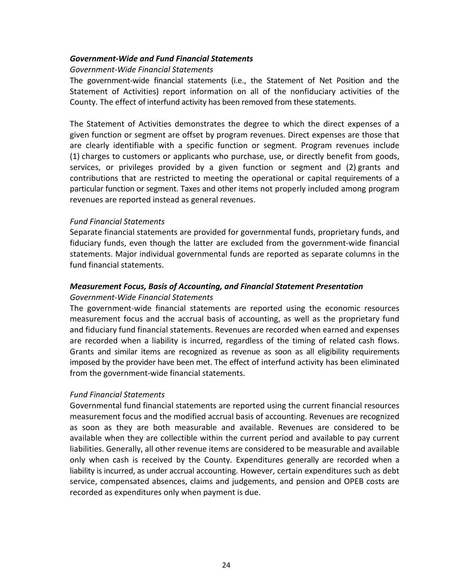## *Government‐Wide and Fund Financial Statements*

*Government‐Wide Financial Statements* 

The government-wide financial statements (i.e., the Statement of Net Position and the Statement of Activities) report information on all of the nonfiduciary activities of the County. The effect of interfund activity has been removed from these statements.

The Statement of Activities demonstrates the degree to which the direct expenses of a given function or segment are offset by program revenues. Direct expenses are those that are clearly identifiable with a specific function or segment. Program revenues include (1) charges to customers or applicants who purchase, use, or directly benefit from goods, services, or privileges provided by a given function or segment and (2) grants and contributions that are restricted to meeting the operational or capital requirements of a particular function or segment. Taxes and other items not properly included among program revenues are reported instead as general revenues.

#### *Fund Financial Statements*

Separate financial statements are provided for governmental funds, proprietary funds, and fiduciary funds, even though the latter are excluded from the government-wide financial statements. Major individual governmental funds are reported as separate columns in the fund financial statements.

# *Measurement Focus, Basis of Accounting, and Financial Statement Presentation*

#### *Government‐Wide Financial Statements*

The government-wide financial statements are reported using the economic resources measurement focus and the accrual basis of accounting, as well as the proprietary fund and fiduciary fund financial statements. Revenues are recorded when earned and expenses are recorded when a liability is incurred, regardless of the timing of related cash flows. Grants and similar items are recognized as revenue as soon as all eligibility requirements imposed by the provider have been met. The effect of interfund activity has been eliminated from the government‐wide financial statements.

## *Fund Financial Statements*

Governmental fund financial statements are reported using the current financial resources measurement focus and the modified accrual basis of accounting. Revenues are recognized as soon as they are both measurable and available. Revenues are considered to be available when they are collectible within the current period and available to pay current liabilities. Generally, all other revenue items are considered to be measurable and available only when cash is received by the County. Expenditures generally are recorded when a liability is incurred, as under accrual accounting. However, certain expenditures such as debt service, compensated absences, claims and judgements, and pension and OPEB costs are recorded as expenditures only when payment is due.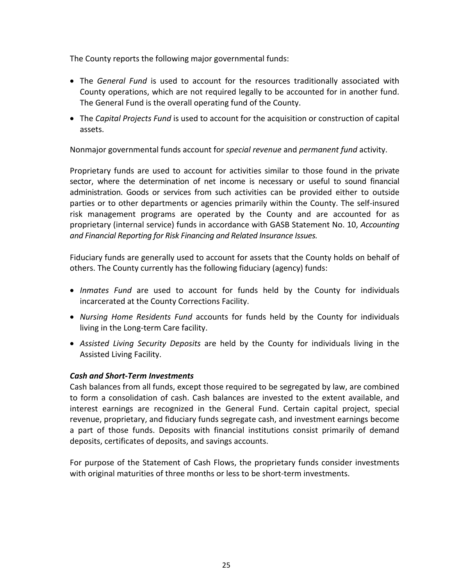The County reports the following major governmental funds:

- The *General Fund* is used to account for the resources traditionally associated with County operations, which are not required legally to be accounted for in another fund. The General Fund is the overall operating fund of the County.
- The *Capital Projects Fund* is used to account for the acquisition or construction of capital assets.

Nonmajor governmental funds account for *special revenue* and *permanent fund* activity.

Proprietary funds are used to account for activities similar to those found in the private sector, where the determination of net income is necessary or useful to sound financial administration. Goods or services from such activities can be provided either to outside parties or to other departments or agencies primarily within the County. The self-insured risk management programs are operated by the County and are accounted for as proprietary (internal service) funds in accordance with GASB Statement No. 10, *Accounting and Financial Reporting for Risk Financing and Related Insurance Issues.* 

Fiduciary funds are generally used to account for assets that the County holds on behalf of others. The County currently has the following fiduciary (agency) funds:

- *Inmates Fund*  are used to account for funds held by the County for individuals incarcerated at the County Corrections Facility.
- *Nursing Home Residents Fund* accounts for funds held by the County for individuals living in the Long‐term Care facility.
- *Assisted Living Security Deposits* are held by the County for individuals living in the Assisted Living Facility.

## *Cash and Short‐Term Investments*

Cash balances from all funds, except those required to be segregated by law, are combined to form a consolidation of cash. Cash balances are invested to the extent available, and interest earnings are recognized in the General Fund. Certain capital project, special revenue, proprietary, and fiduciary funds segregate cash, and investment earnings become a part of those funds. Deposits with financial institutions consist primarily of demand deposits, certificates of deposits, and savings accounts.

For purpose of the Statement of Cash Flows, the proprietary funds consider investments with original maturities of three months or less to be short-term investments.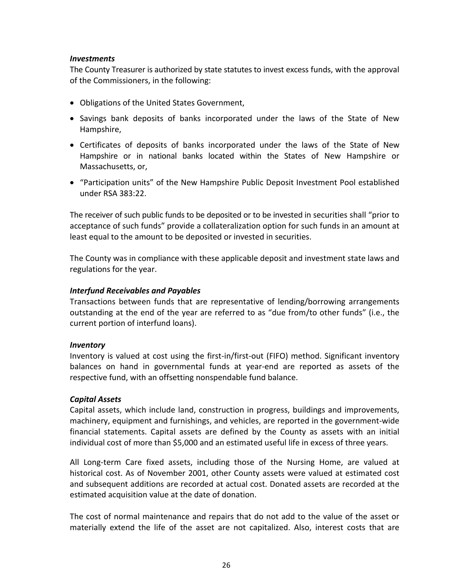## *Investments*

The County Treasurer is authorized by state statutes to invest excess funds, with the approval of the Commissioners, in the following:

- Obligations of the United States Government,
- Savings bank deposits of banks incorporated under the laws of the State of New Hampshire,
- Certificates of deposits of banks incorporated under the laws of the State of New Hampshire or in national banks located within the States of New Hampshire or Massachusetts, or,
- "Participation units" of the New Hampshire Public Deposit Investment Pool established under RSA 383:22.

The receiver of such public funds to be deposited or to be invested in securities shall "prior to acceptance of such funds" provide a collateralization option for such funds in an amount at least equal to the amount to be deposited or invested in securities.

The County was in compliance with these applicable deposit and investment state laws and regulations for the year.

## *Interfund Receivables and Payables*

Transactions between funds that are representative of lending/borrowing arrangements outstanding at the end of the year are referred to as "due from/to other funds" (i.e., the current portion of interfund loans).

## *Inventory*

Inventory is valued at cost using the first‐in/first‐out (FIFO) method. Significant inventory balances on hand in governmental funds at year-end are reported as assets of the respective fund, with an offsetting nonspendable fund balance.

## *Capital Assets*

Capital assets, which include land, construction in progress, buildings and improvements, machinery, equipment and furnishings, and vehicles, are reported in the government‐wide financial statements. Capital assets are defined by the County as assets with an initial individual cost of more than \$5,000 and an estimated useful life in excess of three years.

All Long-term Care fixed assets, including those of the Nursing Home, are valued at historical cost. As of November 2001, other County assets were valued at estimated cost and subsequent additions are recorded at actual cost. Donated assets are recorded at the estimated acquisition value at the date of donation.

The cost of normal maintenance and repairs that do not add to the value of the asset or materially extend the life of the asset are not capitalized. Also, interest costs that are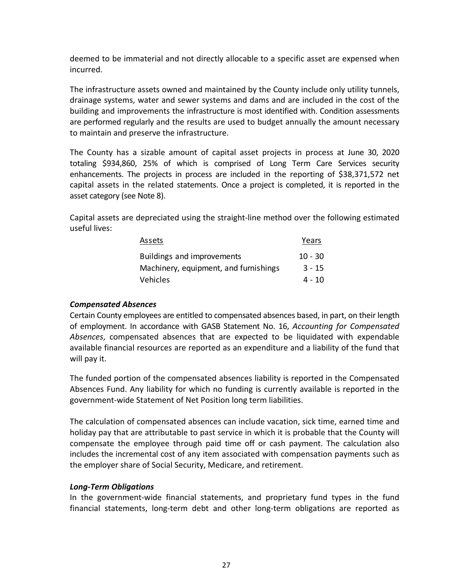deemed to be immaterial and not directly allocable to a specific asset are expensed when incurred.

The infrastructure assets owned and maintained by the County include only utility tunnels, drainage systems, water and sewer systems and dams and are included in the cost of the building and improvements the infrastructure is most identified with. Condition assessments are performed regularly and the results are used to budget annually the amount necessary to maintain and preserve the infrastructure.

The County has a sizable amount of capital asset projects in process at June 30, 2020 totaling \$934,860, 25% of which is comprised of Long Term Care Services security enhancements. The projects in process are included in the reporting of \$38,371,572 net capital assets in the related statements. Once a project is completed, it is reported in the asset category (see Note 8).

Capital assets are depreciated using the straight‐line method over the following estimated useful lives:

| Assets                                | Years     |
|---------------------------------------|-----------|
| Buildings and improvements            | $10 - 30$ |
| Machinery, equipment, and furnishings | $3 - 15$  |
| Vehicles                              | $4 - 10$  |

## *Compensated Absences*

Certain County employees are entitled to compensated absences based, in part, on their length of employment. In accordance with GASB Statement No. 16, *Accounting for Compensated Absences*, compensated absences that are expected to be liquidated with expendable available financial resources are reported as an expenditure and a liability of the fund that will pay it.

The funded portion of the compensated absences liability is reported in the Compensated Absences Fund. Any liability for which no funding is currently available is reported in the government‐wide Statement of Net Position long term liabilities.

The calculation of compensated absences can include vacation, sick time, earned time and holiday pay that are attributable to past service in which it is probable that the County will compensate the employee through paid time off or cash payment. The calculation also includes the incremental cost of any item associated with compensation payments such as the employer share of Social Security, Medicare, and retirement.

# *Long‐Term Obligations*

In the government-wide financial statements, and proprietary fund types in the fund financial statements, long-term debt and other long-term obligations are reported as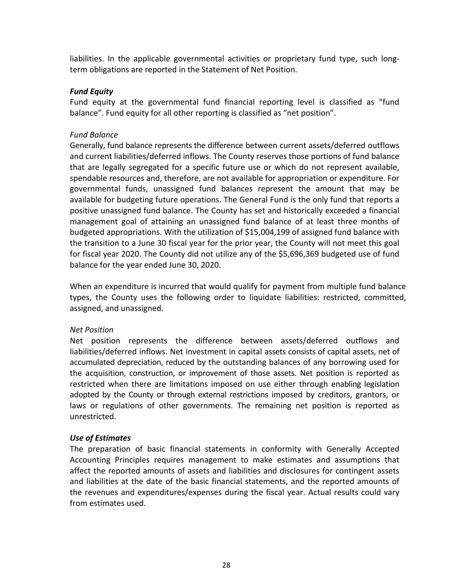liabilities. In the applicable governmental activities or proprietary fund type, such long‐ term obligations are reported in the Statement of Net Position.

## *Fund Equity*

Fund equity at the governmental fund financial reporting level is classified as "fund balance". Fund equity for all other reporting is classified as "net position".

# *Fund Balance*

Generally, fund balance represents the difference between current assets/deferred outflows and current liabilities/deferred inflows. The County reserves those portions of fund balance that are legally segregated for a specific future use or which do not represent available, spendable resources and, therefore, are not available for appropriation or expenditure. For governmental funds, unassigned fund balances represent the amount that may be available for budgeting future operations. The General Fund is the only fund that reports a positive unassigned fund balance. The County has set and historically exceeded a financial management goal of attaining an unassigned fund balance of at least three months of budgeted appropriations. With the utilization of \$15,004,199 of assigned fund balance with the transition to a June 30 fiscal year for the prior year, the County will not meet this goal for fiscal year 2020. The County did not utilize any of the \$5,696,369 budgeted use of fund balance for the year ended June 30, 2020.

When an expenditure is incurred that would qualify for payment from multiple fund balance types, the County uses the following order to liquidate liabilities: restricted, committed, assigned, and unassigned.

## *Net Position*

Net position represents the difference between assets/deferred outflows and liabilities/deferred inflows. Net investment in capital assets consists of capital assets, net of accumulated depreciation, reduced by the outstanding balances of any borrowing used for the acquisition, construction, or improvement of those assets. Net position is reported as restricted when there are limitations imposed on use either through enabling legislation adopted by the County or through external restrictions imposed by creditors, grantors, or laws or regulations of other governments. The remaining net position is reported as unrestricted.

# *Use of Estimates*

The preparation of basic financial statements in conformity with Generally Accepted Accounting Principles requires management to make estimates and assumptions that affect the reported amounts of assets and liabilities and disclosures for contingent assets and liabilities at the date of the basic financial statements, and the reported amounts of the revenues and expenditures/expenses during the fiscal year. Actual results could vary from estimates used.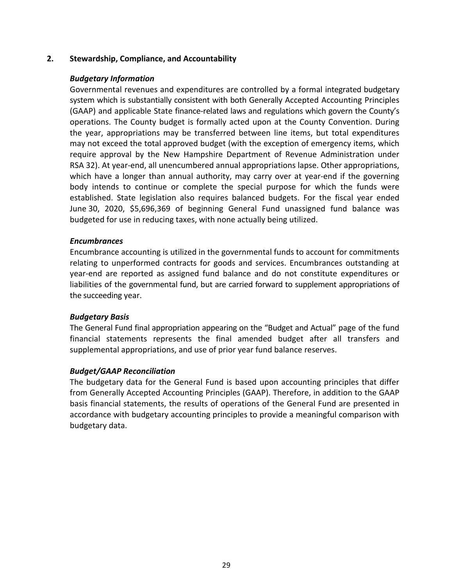#### **2. Stewardship, Compliance, and Accountability**

#### *Budgetary Information*

Governmental revenues and expenditures are controlled by a formal integrated budgetary system which is substantially consistent with both Generally Accepted Accounting Principles (GAAP) and applicable State finance‐related laws and regulations which govern the County's operations. The County budget is formally acted upon at the County Convention. During the year, appropriations may be transferred between line items, but total expenditures may not exceed the total approved budget (with the exception of emergency items, which require approval by the New Hampshire Department of Revenue Administration under RSA 32). At year‐end, all unencumbered annual appropriations lapse. Other appropriations, which have a longer than annual authority, may carry over at year-end if the governing body intends to continue or complete the special purpose for which the funds were established. State legislation also requires balanced budgets. For the fiscal year ended June 30, 2020, \$5,696,369 of beginning General Fund unassigned fund balance was budgeted for use in reducing taxes, with none actually being utilized.

#### *Encumbrances*

Encumbrance accounting is utilized in the governmental funds to account for commitments relating to unperformed contracts for goods and services. Encumbrances outstanding at year-end are reported as assigned fund balance and do not constitute expenditures or liabilities of the governmental fund, but are carried forward to supplement appropriations of the succeeding year.

## *Budgetary Basis*

The General Fund final appropriation appearing on the "Budget and Actual" page of the fund financial statements represents the final amended budget after all transfers and supplemental appropriations, and use of prior year fund balance reserves.

## *Budget/GAAP Reconciliation*

The budgetary data for the General Fund is based upon accounting principles that differ from Generally Accepted Accounting Principles (GAAP). Therefore, in addition to the GAAP basis financial statements, the results of operations of the General Fund are presented in accordance with budgetary accounting principles to provide a meaningful comparison with budgetary data.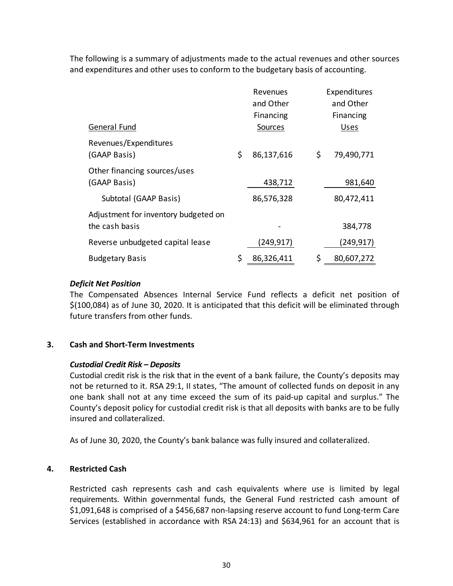The following is a summary of adjustments made to the actual revenues and other sources and expenditures and other uses to conform to the budgetary basis of accounting.

|                                                        | Revenues<br>and Other<br>Financing |    | Expenditures<br>and Other<br>Financing |
|--------------------------------------------------------|------------------------------------|----|----------------------------------------|
| General Fund                                           | <b>Sources</b>                     |    | <b>Uses</b>                            |
| Revenues/Expenditures<br>(GAAP Basis)                  | \$<br>86,137,616                   | \$ | 79,490,771                             |
| Other financing sources/uses<br>(GAAP Basis)           | 438,712                            |    | 981,640                                |
| Subtotal (GAAP Basis)                                  | 86,576,328                         |    | 80,472,411                             |
| Adjustment for inventory budgeted on<br>the cash basis |                                    |    | 384,778                                |
| Reverse unbudgeted capital lease                       | (249,917)                          |    | (249,917)                              |
| <b>Budgetary Basis</b>                                 | 86,326,411                         | \$ | 80,607,272                             |

# *Deficit Net Position*

The Compensated Absences Internal Service Fund reflects a deficit net position of \$(100,084) as of June 30, 2020. It is anticipated that this deficit will be eliminated through future transfers from other funds.

# **3. Cash and Short‐Term Investments**

## *Custodial Credit Risk – Deposits*

Custodial credit risk is the risk that in the event of a bank failure, the County's deposits may not be returned to it. RSA 29:1, II states, "The amount of collected funds on deposit in any one bank shall not at any time exceed the sum of its paid‐up capital and surplus." The County's deposit policy for custodial credit risk is that all deposits with banks are to be fully insured and collateralized.

As of June 30, 2020, the County's bank balance was fully insured and collateralized.

# **4. Restricted Cash**

Restricted cash represents cash and cash equivalents where use is limited by legal requirements. Within governmental funds, the General Fund restricted cash amount of \$1,091,648 is comprised of a \$456,687 non‐lapsing reserve account to fund Long‐term Care Services (established in accordance with RSA 24:13) and \$634,961 for an account that is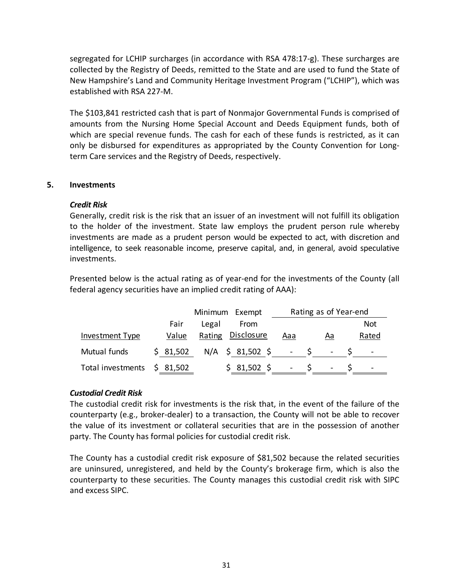segregated for LCHIP surcharges (in accordance with RSA 478:17‐g). These surcharges are collected by the Registry of Deeds, remitted to the State and are used to fund the State of New Hampshire's Land and Community Heritage Investment Program ("LCHIP"), which was established with RSA 227‐M.

The \$103,841 restricted cash that is part of Nonmajor Governmental Funds is comprised of amounts from the Nursing Home Special Account and Deeds Equipment funds, both of which are special revenue funds. The cash for each of these funds is restricted, as it can only be disbursed for expenditures as appropriated by the County Convention for Long‐ term Care services and the Registry of Deeds, respectively.

## **5. Investments**

# *Credit Risk*

Generally, credit risk is the risk that an issuer of an investment will not fulfill its obligation to the holder of the investment. State law employs the prudent person rule whereby investments are made as a prudent person would be expected to act, with discretion and intelligence, to seek reasonable income, preserve capital, and, in general, avoid speculative investments.

Presented below is the actual rating as of year-end for the investments of the County (all federal agency securities have an implied credit rating of AAA):

|                   |           | Minimum Exempt |                    |                | Rating as of Year-end |            |
|-------------------|-----------|----------------|--------------------|----------------|-----------------------|------------|
|                   | Fair      | Legal          | From               |                |                       | <b>Not</b> |
| Investment Type   | Value     | Rating         | <u>Disclosu</u> re | Aaa            | Aa                    | Rated      |
| Mutual funds      | \$31,502  |                | $N/A$ \$ 81,502 \$ | $-5$           |                       |            |
| Total investments | \$ 81,502 |                | $$31,502$ \$       | $\blacksquare$ |                       |            |

## *Custodial Credit Risk*

The custodial credit risk for investments is the risk that, in the event of the failure of the counterparty (e.g., broker‐dealer) to a transaction, the County will not be able to recover the value of its investment or collateral securities that are in the possession of another party. The County has formal policies for custodial credit risk.

The County has a custodial credit risk exposure of \$81,502 because the related securities are uninsured, unregistered, and held by the County's brokerage firm, which is also the counterparty to these securities. The County manages this custodial credit risk with SIPC and excess SIPC.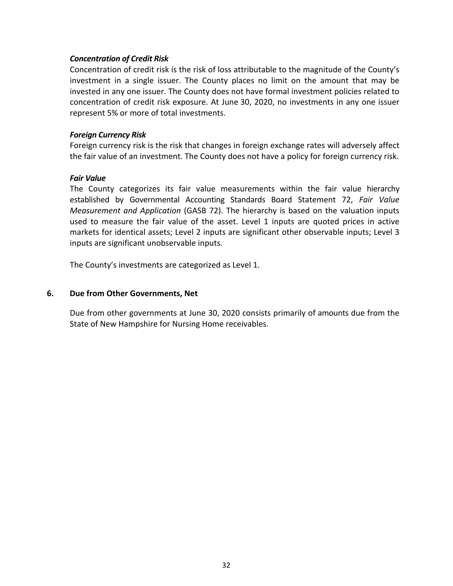## *Concentration of Credit Risk*

Concentration of credit risk is the risk of loss attributable to the magnitude of the County's investment in a single issuer. The County places no limit on the amount that may be invested in any one issuer. The County does not have formal investment policies related to concentration of credit risk exposure. At June 30, 2020, no investments in any one issuer represent 5% or more of total investments.

#### *Foreign Currency Risk*

Foreign currency risk is the risk that changes in foreign exchange rates will adversely affect the fair value of an investment. The County does not have a policy for foreign currency risk.

#### *Fair Value*

The County categorizes its fair value measurements within the fair value hierarchy established by Governmental Accounting Standards Board Statement 72, *Fair Value Measurement and Application* (GASB 72). The hierarchy is based on the valuation inputs used to measure the fair value of the asset. Level 1 inputs are quoted prices in active markets for identical assets; Level 2 inputs are significant other observable inputs; Level 3 inputs are significant unobservable inputs.

The County's investments are categorized as Level 1.

## **6. Due from Other Governments, Net**

Due from other governments at June 30, 2020 consists primarily of amounts due from the State of New Hampshire for Nursing Home receivables.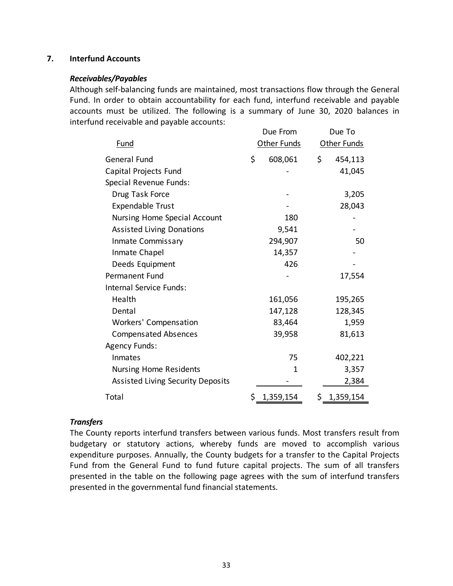## **7. Interfund Accounts**

#### *Receivables/Payables*

Although self‐balancing funds are maintained, most transactions flow through the General Fund. In order to obtain accountability for each fund, interfund receivable and payable accounts must be utilized. The following is a summary of June 30, 2020 balances in interfund receivable and payable accounts:

|                                          | Due From      | Due To           |
|------------------------------------------|---------------|------------------|
| <b>Fund</b>                              | Other Funds   | Other Funds      |
| General Fund                             | \$<br>608,061 | \$<br>454,113    |
| Capital Projects Fund                    |               | 41,045           |
| Special Revenue Funds:                   |               |                  |
| Drug Task Force                          |               | 3,205            |
| <b>Expendable Trust</b>                  |               | 28,043           |
| Nursing Home Special Account             | 180           |                  |
| <b>Assisted Living Donations</b>         | 9,541         |                  |
| Inmate Commissary                        | 294,907       | 50               |
| Inmate Chapel                            | 14,357        |                  |
| Deeds Equipment                          | 426           |                  |
| <b>Permanent Fund</b>                    |               | 17,554           |
| Internal Service Funds:                  |               |                  |
| Health                                   | 161,056       | 195,265          |
| Dental                                   | 147,128       | 128,345          |
| Workers' Compensation                    | 83,464        | 1,959            |
| <b>Compensated Absences</b>              | 39,958        | 81,613           |
| <b>Agency Funds:</b>                     |               |                  |
| Inmates                                  | 75            | 402,221          |
| <b>Nursing Home Residents</b>            | 1             | 3,357            |
| <b>Assisted Living Security Deposits</b> |               | 2,384            |
| Total                                    | 1,359,154     | 1,359,154<br>\$. |

## *Transfers*

The County reports interfund transfers between various funds. Most transfers result from budgetary or statutory actions, whereby funds are moved to accomplish various expenditure purposes. Annually, the County budgets for a transfer to the Capital Projects Fund from the General Fund to fund future capital projects. The sum of all transfers presented in the table on the following page agrees with the sum of interfund transfers presented in the governmental fund financial statements.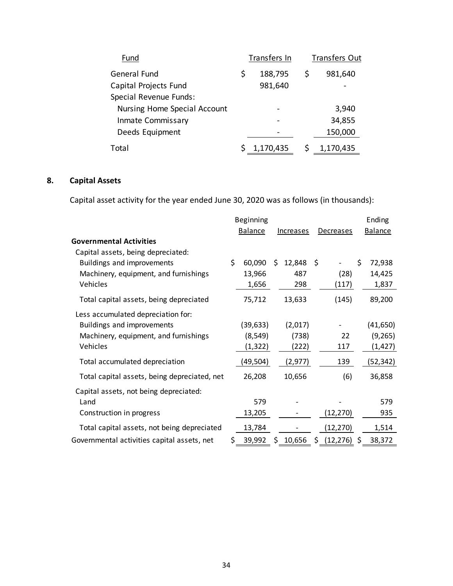| Fund                         | Transfers In | <b>Transfers Out</b> |           |  |  |
|------------------------------|--------------|----------------------|-----------|--|--|
| General Fund                 | 188,795      | \$                   | 981,640   |  |  |
| Capital Projects Fund        | 981,640      |                      |           |  |  |
| Special Revenue Funds:       |              |                      |           |  |  |
| Nursing Home Special Account |              |                      | 3,940     |  |  |
| Inmate Commissary            |              |                      | 34,855    |  |  |
| Deeds Equipment              |              |                      | 150,000   |  |  |
| Total                        | 1,170,435    |                      | 1,170,435 |  |  |

# **8. Capital Assets**

Capital asset activity for the year ended June 30, 2020 was as follows (in thousands):

|                                              | <b>Beginning</b> |                |                  |         |           | Ending    |    |                |
|----------------------------------------------|------------------|----------------|------------------|---------|-----------|-----------|----|----------------|
|                                              |                  | <b>Balance</b> | <u>Increases</u> |         | Decreases |           |    | <b>Balance</b> |
| <b>Governmental Activities</b>               |                  |                |                  |         |           |           |    |                |
| Capital assets, being depreciated:           |                  |                |                  |         |           |           |    |                |
| <b>Buildings and improvements</b>            | Ś.               | 60,090         | \$.              | 12,848  | - \$      |           | \$ | 72,938         |
| Machinery, equipment, and furnishings        |                  | 13,966         |                  | 487     |           | (28)      |    | 14,425         |
| Vehicles                                     |                  | 1,656          |                  | 298     |           | (117)     |    | 1,837          |
| Total capital assets, being depreciated      |                  | 75,712         |                  | 13,633  |           | (145)     |    | 89,200         |
| Less accumulated depreciation for:           |                  |                |                  |         |           |           |    |                |
| Buildings and improvements                   |                  | (39, 633)      |                  | (2,017) |           |           |    | (41, 650)      |
| Machinery, equipment, and furnishings        |                  | (8, 549)       |                  | (738)   |           | 22        |    | (9, 265)       |
| Vehicles                                     |                  | (1,322)        |                  | (222)   |           | 117       |    | (1, 427)       |
| Total accumulated depreciation               |                  | (49,504)       |                  | (2,977) |           | 139       |    | (52,342)       |
| Total capital assets, being depreciated, net |                  | 26,208         |                  | 10,656  |           | (6)       |    | 36,858         |
| Capital assets, not being depreciated:       |                  |                |                  |         |           |           |    |                |
| Land                                         |                  | 579            |                  |         |           |           |    | 579            |
| Construction in progress                     |                  | 13,205         |                  |         |           | (12,270)  |    | 935            |
| Total capital assets, not being depreciated  |                  | 13,784         |                  |         |           | (12,270)  |    | 1,514          |
| Governmental activities capital assets, net  | \$               | 39,992         | S                | 10,656  | \$        | (12, 276) | S  | 38,372         |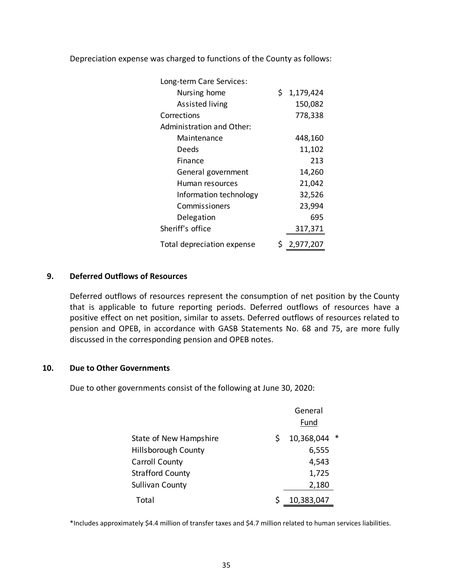Depreciation expense was charged to functions of the County as follows:

| Long-term Care Services:   |     |           |
|----------------------------|-----|-----------|
| Nursing home               | \$  | 1,179,424 |
| <b>Assisted living</b>     |     | 150,082   |
| Corrections                |     | 778,338   |
| Administration and Other:  |     |           |
| Maintenance                |     | 448,160   |
| Deeds                      |     | 11,102    |
| Finance                    |     | 213       |
| General government         |     | 14,260    |
| Human resources            |     | 21,042    |
| Information technology     |     | 32,526    |
| Commissioners              |     | 23,994    |
| Delegation                 |     | 695       |
| Sheriff's office           |     | 317,371   |
| Total depreciation expense | \$. | 2,977,207 |

# **9. Deferred Outflows of Resources**

Deferred outflows of resources represent the consumption of net position by the County that is applicable to future reporting periods. Deferred outflows of resources have a positive effect on net position, similar to assets. Deferred outflows of resources related to pension and OPEB, in accordance with GASB Statements No. 68 and 75, are more fully discussed in the corresponding pension and OPEB notes.

## **10. Due to Other Governments**

Due to other governments consist of the following at June 30, 2020:

|                            |   | General<br>Fund |        |
|----------------------------|---|-----------------|--------|
| State of New Hampshire     | S | 10,368,044      | $\ast$ |
| <b>Hillsborough County</b> |   | 6,555           |        |
| <b>Carroll County</b>      |   | 4,543           |        |
| <b>Strafford County</b>    |   | 1,725           |        |
| <b>Sullivan County</b>     |   | 2,180           |        |
| Total                      |   | 10,383,047      |        |

\*Includes approximately \$4.4 million of transfer taxes and \$4.7 million related to human services liabilities.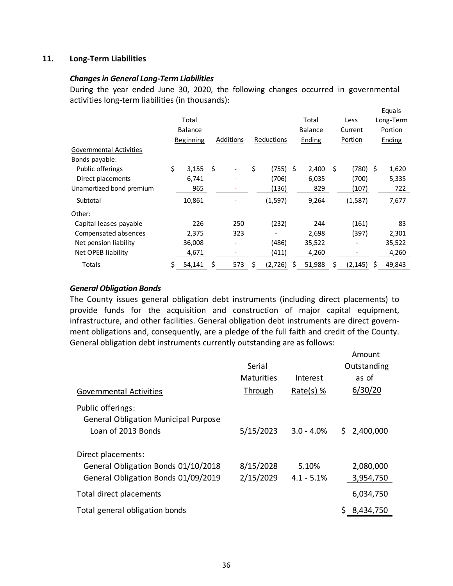#### **11. Long‐Term Liabilities**

#### *Changes in General Long‐Term Liabilities*

During the year ended June 30, 2020, the following changes occurred in governmental activities long‐term liabilities (in thousands):

|                          |                |    |                          |               |    |                |     |          |     | Equals        |
|--------------------------|----------------|----|--------------------------|---------------|----|----------------|-----|----------|-----|---------------|
|                          | Total          |    |                          |               |    | Total          |     | Less     |     | Long-Term     |
|                          | <b>Balance</b> |    |                          |               |    | <b>Balance</b> |     | Current  |     | Portion       |
|                          | Beginning      |    | Additions                | Reductions    |    | Ending         |     | Portion  |     | <b>Ending</b> |
| Governmental Activities  |                |    |                          |               |    |                |     |          |     |               |
| Bonds payable:           |                |    |                          |               |    |                |     |          |     |               |
| Public offerings         | \$<br>3,155    | Ŝ. |                          | \$<br>(755)   | Ŝ. | 2,400          | -\$ | (780)    | -\$ | 1,620         |
| Direct placements        | 6,741          |    |                          | (706)         |    | 6,035          |     | (700)    |     | 5,335         |
| Unamortized bond premium | 965            |    |                          | (136)         |    | 829            |     | (107)    |     | 722           |
| Subtotal                 | 10,861         |    |                          | (1, 597)      |    | 9,264          |     | (1,587)  |     | 7,677         |
| Other:                   |                |    |                          |               |    |                |     |          |     |               |
| Capital leases payable   | 226            |    | 250                      | (232)         |    | 244            |     | (161)    |     | 83            |
| Compensated absences     | 2,375          |    | 323                      | -             |    | 2,698          |     | (397)    |     | 2,301         |
| Net pension liability    | 36,008         |    | $\overline{\phantom{a}}$ | (486)         |    | 35,522         |     |          |     | 35,522        |
| Net OPEB liability       | 4,671          |    |                          | (411)         |    | 4,260          |     |          |     | 4,260         |
| Totals                   | \$<br>54,141   | Ś  | 573                      | \$<br>(2,726) | Ś  | 51,988         | \$  | (2, 145) | Ś   | 49,843        |

#### *General Obligation Bonds*

The County issues general obligation debt instruments (including direct placements) to provide funds for the acquisition and construction of major capital equipment, infrastructure, and other facilities. General obligation debt instruments are direct govern‐ ment obligations and, consequently, are a pledge of the full faith and credit of the County. General obligation debt instruments currently outstanding are as follows:

| <b>Governmental Activities</b>                                                                   | Serial<br><b>Maturities</b><br>Through | Interest<br>Rate(s) $%$ | Amount<br>Outstanding<br>as of<br>6/30/20 |
|--------------------------------------------------------------------------------------------------|----------------------------------------|-------------------------|-------------------------------------------|
| Public offerings:<br><b>General Obligation Municipal Purpose</b><br>Loan of 2013 Bonds           | 5/15/2023                              | $3.0 - 4.0\%$           | 2,400,000<br>S.                           |
| Direct placements:<br>General Obligation Bonds 01/10/2018<br>General Obligation Bonds 01/09/2019 | 8/15/2028<br>2/15/2029                 | 5.10%<br>$4.1 - 5.1%$   | 2,080,000<br>3,954,750                    |
| Total direct placements                                                                          |                                        |                         | 6,034,750                                 |
| Total general obligation bonds                                                                   |                                        |                         | 8,434,750                                 |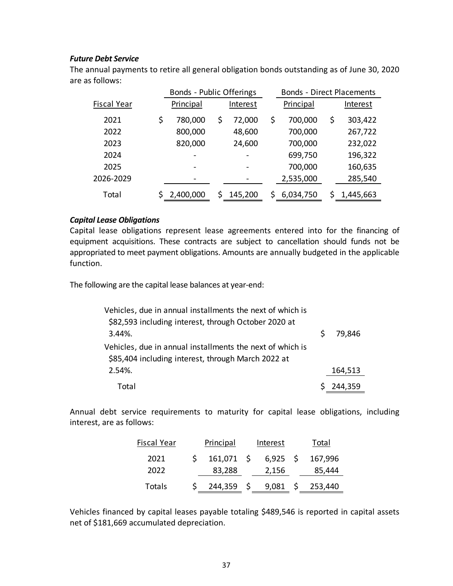#### *Future Debt Service*

The annual payments to retire all general obligation bonds outstanding as of June 30, 2020 are as follows:

|                    | Bonds - Public Offerings |    |          |    | <b>Bonds - Direct Placements</b> |               |
|--------------------|--------------------------|----|----------|----|----------------------------------|---------------|
| <b>Fiscal Year</b> | Principal                |    | Interest |    | Principal                        | Interest      |
| 2021               | \$<br>780,000            | \$ | 72,000   | \$ | 700,000                          | \$<br>303,422 |
| 2022               | 800,000                  |    | 48,600   |    | 700,000                          | 267,722       |
| 2023               | 820,000                  |    | 24,600   |    | 700,000                          | 232,022       |
| 2024               |                          |    |          |    | 699,750                          | 196,322       |
| 2025               | $\overline{\phantom{a}}$ |    |          |    | 700,000                          | 160,635       |
| 2026-2029          |                          |    |          |    | 2,535,000                        | 285,540       |
| Total              | 2,400,000                | Ś  | 145,200  | S  | 6,034,750                        | 1,445,663     |

## *Capital Lease Obligations*

Capital lease obligations represent lease agreements entered into for the financing of equipment acquisitions. These contracts are subject to cancellation should funds not be appropriated to meet payment obligations. Amounts are annually budgeted in the applicable function.

The following are the capital lease balances at year‐end:

| Vehicles, due in annual installments the next of which is<br>\$82,593 including interest, through October 2020 at<br>$3.44\%$ . | S | 79,846    |
|---------------------------------------------------------------------------------------------------------------------------------|---|-----------|
| Vehicles, due in annual installments the next of which is<br>\$85,404 including interest, through March 2022 at                 |   |           |
| 2.54%.                                                                                                                          |   | 164,513   |
| Total                                                                                                                           |   | \$244,359 |

Annual debt service requirements to maturity for capital lease obligations, including interest, are as follows:

| <b>Fiscal Year</b> | Principal         | Interest         | Total   |
|--------------------|-------------------|------------------|---------|
| 2021               | $161,071 \quad $$ | $6.925 \quad$ \$ | 167,996 |
| 2022               | 83,288            | 2,156            | 85,444  |
| Totals             | 244,359           | 9,081            | 253,440 |

Vehicles financed by capital leases payable totaling \$489,546 is reported in capital assets net of \$181,669 accumulated depreciation.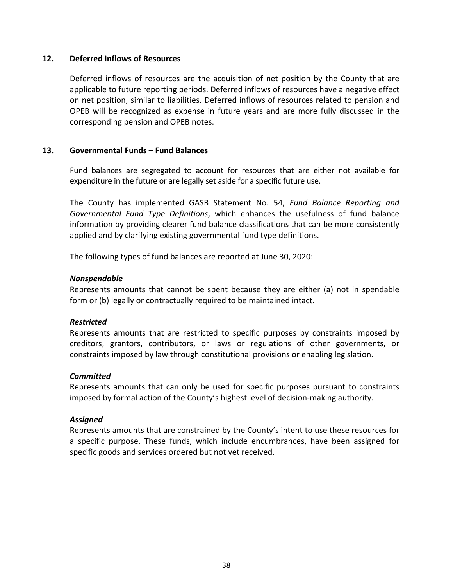## **12. Deferred Inflows of Resources**

Deferred inflows of resources are the acquisition of net position by the County that are applicable to future reporting periods. Deferred inflows of resources have a negative effect on net position, similar to liabilities. Deferred inflows of resources related to pension and OPEB will be recognized as expense in future years and are more fully discussed in the corresponding pension and OPEB notes.

#### **13. Governmental Funds – Fund Balances**

Fund balances are segregated to account for resources that are either not available for expenditure in the future or are legally set aside for a specific future use.

The County has implemented GASB Statement No. 54, *Fund Balance Reporting and Governmental Fund Type Definitions*, which enhances the usefulness of fund balance information by providing clearer fund balance classifications that can be more consistently applied and by clarifying existing governmental fund type definitions.

The following types of fund balances are reported at June 30, 2020:

#### *Nonspendable*

Represents amounts that cannot be spent because they are either (a) not in spendable form or (b) legally or contractually required to be maintained intact.

## *Restricted*

Represents amounts that are restricted to specific purposes by constraints imposed by creditors, grantors, contributors, or laws or regulations of other governments, or constraints imposed by law through constitutional provisions or enabling legislation.

#### *Committed*

Represents amounts that can only be used for specific purposes pursuant to constraints imposed by formal action of the County's highest level of decision-making authority.

## *Assigned*

Represents amounts that are constrained by the County's intent to use these resources for a specific purpose. These funds, which include encumbrances, have been assigned for specific goods and services ordered but not yet received.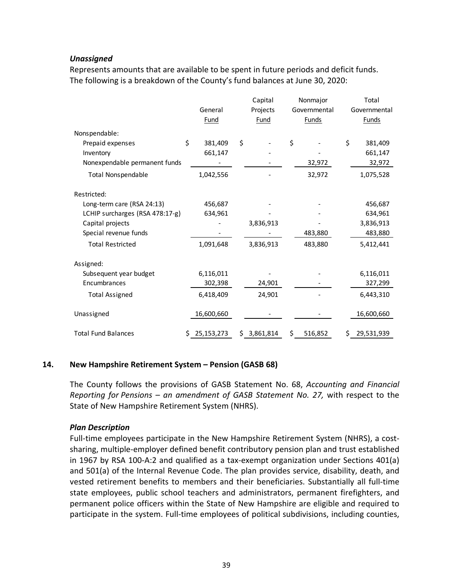## *Unassigned*

Represents amounts that are available to be spent in future periods and deficit funds. The following is a breakdown of the County's fund balances at June 30, 2020:

|                                 |               | Capital     | Nonmajor      |               | Total        |
|---------------------------------|---------------|-------------|---------------|---------------|--------------|
|                                 | General       | Projects    | Governmental  |               | Governmental |
|                                 | Fund          | <b>Fund</b> | <b>Funds</b>  |               | <b>Funds</b> |
| Nonspendable:                   |               |             |               |               |              |
| Prepaid expenses                | \$<br>381,409 | \$          | \$            | \$            | 381,409      |
| Inventory                       | 661,147       |             |               |               | 661,147      |
| Nonexpendable permanent funds   |               |             | 32,972        |               | 32,972       |
| Total Nonspendable              | 1,042,556     |             | 32,972        |               | 1,075,528    |
| Restricted:                     |               |             |               |               |              |
| Long-term care (RSA 24:13)      | 456,687       |             |               |               | 456,687      |
| LCHIP surcharges (RSA 478:17-g) | 634,961       |             |               |               | 634,961      |
| Capital projects                |               | 3,836,913   |               |               | 3,836,913    |
| Special revenue funds           |               |             | 483,880       |               | 483,880      |
| <b>Total Restricted</b>         | 1,091,648     | 3,836,913   | 483,880       |               | 5,412,441    |
| Assigned:                       |               |             |               |               |              |
| Subsequent year budget          | 6,116,011     |             |               |               | 6,116,011    |
| Encumbrances                    | 302,398       | 24,901      |               |               | 327,299      |
| <b>Total Assigned</b>           | 6,418,409     | 24,901      |               |               | 6,443,310    |
| Unassigned                      | 16,600,660    |             |               |               | 16,600,660   |
| <b>Total Fund Balances</b>      | \$25,153,273  | \$3,861,814 | \$<br>516,852 | $\ddot{\phi}$ | 29,531,939   |

## **14. New Hampshire Retirement System – Pension (GASB 68)**

The County follows the provisions of GASB Statement No. 68, *Accounting and Financial Reporting for Pensions – an amendment of GASB Statement No. 27,* with respect to the State of New Hampshire Retirement System (NHRS).

## *Plan Description*

Full-time employees participate in the New Hampshire Retirement System (NHRS), a costsharing, multiple‐employer defined benefit contributory pension plan and trust established in 1967 by RSA 100-A:2 and qualified as a tax-exempt organization under Sections 401(a) and 501(a) of the Internal Revenue Code. The plan provides service, disability, death, and vested retirement benefits to members and their beneficiaries. Substantially all full‐time state employees, public school teachers and administrators, permanent firefighters, and permanent police officers within the State of New Hampshire are eligible and required to participate in the system. Full-time employees of political subdivisions, including counties,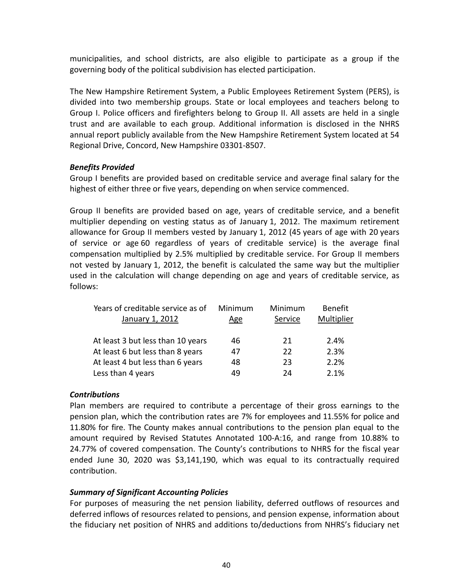municipalities, and school districts, are also eligible to participate as a group if the governing body of the political subdivision has elected participation.

The New Hampshire Retirement System, a Public Employees Retirement System (PERS), is divided into two membership groups. State or local employees and teachers belong to Group I. Police officers and firefighters belong to Group II. All assets are held in a single trust and are available to each group. Additional information is disclosed in the NHRS annual report publicly available from the New Hampshire Retirement System located at 54 Regional Drive, Concord, New Hampshire 03301‐8507.

# *Benefits Provided*

Group I benefits are provided based on creditable service and average final salary for the highest of either three or five years, depending on when service commenced.

Group II benefits are provided based on age, years of creditable service, and a benefit multiplier depending on vesting status as of January 1, 2012. The maximum retirement allowance for Group II members vested by January 1, 2012 (45 years of age with 20 years of service or age 60 regardless of years of creditable service) is the average final compensation multiplied by 2.5% multiplied by creditable service. For Group II members not vested by January 1, 2012, the benefit is calculated the same way but the multiplier used in the calculation will change depending on age and years of creditable service, as follows:

| Years of creditable service as of | Minimum | Minimum | <b>Benefit</b> |
|-----------------------------------|---------|---------|----------------|
| January 1, 2012                   | Age     | Service | Multiplier     |
|                                   |         |         |                |
| At least 3 but less than 10 years | 46      | 21      | 2.4%           |
| At least 6 but less than 8 years  | 47      | 22      | 2.3%           |
| At least 4 but less than 6 years  | 48      | 23      | 2.2%           |
| Less than 4 years                 | 49      | 24      | 2.1%           |

## *Contributions*

Plan members are required to contribute a percentage of their gross earnings to the pension plan, which the contribution rates are 7% for employees and 11.55% for police and 11.80% for fire. The County makes annual contributions to the pension plan equal to the amount required by Revised Statutes Annotated 100‐A:16, and range from 10.88% to 24.77% of covered compensation. The County's contributions to NHRS for the fiscal year ended June 30, 2020 was \$3,141,190, which was equal to its contractually required contribution.

## *Summary of Significant Accounting Policies*

For purposes of measuring the net pension liability, deferred outflows of resources and deferred inflows of resources related to pensions, and pension expense, information about the fiduciary net position of NHRS and additions to/deductions from NHRS's fiduciary net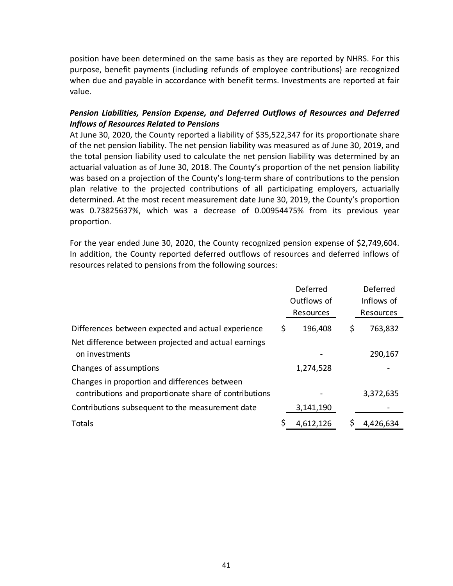position have been determined on the same basis as they are reported by NHRS. For this purpose, benefit payments (including refunds of employee contributions) are recognized when due and payable in accordance with benefit terms. Investments are reported at fair value.

# *Pension Liabilities, Pension Expense, and Deferred Outflows of Resources and Deferred Inflows of Resources Related to Pensions*

At June 30, 2020, the County reported a liability of \$35,522,347 for its proportionate share of the net pension liability. The net pension liability was measured as of June 30, 2019, and the total pension liability used to calculate the net pension liability was determined by an actuarial valuation as of June 30, 2018. The County's proportion of the net pension liability was based on a projection of the County's long-term share of contributions to the pension plan relative to the projected contributions of all participating employers, actuarially determined. At the most recent measurement date June 30, 2019, the County's proportion was 0.73825637%, which was a decrease of 0.00954475% from its previous year proportion.

For the year ended June 30, 2020, the County recognized pension expense of \$2,749,604. In addition, the County reported deferred outflows of resources and deferred inflows of resources related to pensions from the following sources:

|                                                                                                         | Deferred<br>Outflows of<br>Resources | Deferred<br>Inflows of<br>Resources |
|---------------------------------------------------------------------------------------------------------|--------------------------------------|-------------------------------------|
| Differences between expected and actual experience                                                      | \$<br>196,408                        | \$<br>763,832                       |
| Net difference between projected and actual earnings<br>on investments                                  |                                      | 290,167                             |
| Changes of assumptions                                                                                  | 1,274,528                            |                                     |
| Changes in proportion and differences between<br>contributions and proportionate share of contributions |                                      | 3,372,635                           |
| Contributions subsequent to the measurement date                                                        | 3,141,190                            |                                     |
| Totals                                                                                                  | 4,612,126                            | 4,426,634                           |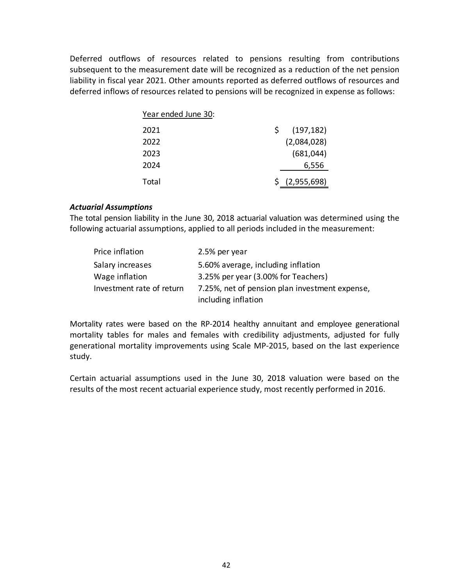Deferred outflows of resources related to pensions resulting from contributions subsequent to the measurement date will be recognized as a reduction of the net pension liability in fiscal year 2021. Other amounts reported as deferred outflows of resources and deferred inflows of resources related to pensions will be recognized in expense as follows:

| Year ended June 30: |    |                |
|---------------------|----|----------------|
| 2021                | S. | (197, 182)     |
| 2022                |    | (2,084,028)    |
| 2023                |    | (681, 044)     |
| 2024                |    | 6,556          |
| Total               |    | \$ (2,955,698) |
|                     |    |                |

#### *Actuarial Assumptions*

The total pension liability in the June 30, 2018 actuarial valuation was determined using the following actuarial assumptions, applied to all periods included in the measurement:

| Price inflation           | 2.5% per year                                  |
|---------------------------|------------------------------------------------|
| Salary increases          | 5.60% average, including inflation             |
| Wage inflation            | 3.25% per year (3.00% for Teachers)            |
| Investment rate of return | 7.25%, net of pension plan investment expense, |
|                           | including inflation                            |

Mortality rates were based on the RP-2014 healthy annuitant and employee generational mortality tables for males and females with credibility adjustments, adjusted for fully generational mortality improvements using Scale MP‐2015, based on the last experience study.

Certain actuarial assumptions used in the June 30, 2018 valuation were based on the results of the most recent actuarial experience study, most recently performed in 2016.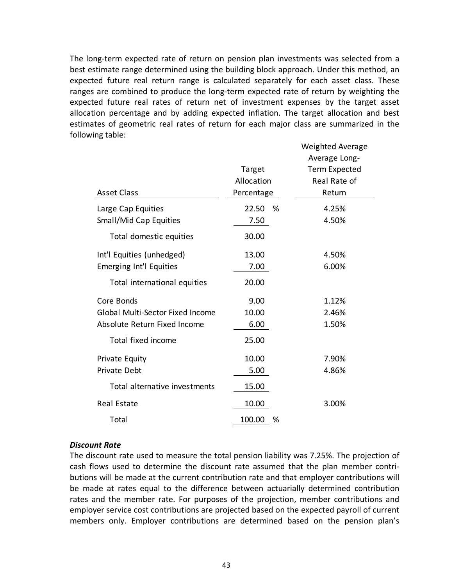The long-term expected rate of return on pension plan investments was selected from a best estimate range determined using the building block approach. Under this method, an expected future real return range is calculated separately for each asset class. These ranges are combined to produce the long-term expected rate of return by weighting the expected future real rates of return net of investment expenses by the target asset allocation percentage and by adding expected inflation. The target allocation and best estimates of geometric real rates of return for each major class are summarized in the following table:

Weighted Average

|                                         |             | <b><i>INCIRILICU AVCIARC</i></b> |
|-----------------------------------------|-------------|----------------------------------|
|                                         |             | Average Long-                    |
|                                         | Target      | <b>Term Expected</b>             |
|                                         | Allocation  | Real Rate of                     |
| <b>Asset Class</b>                      | Percentage  | Return                           |
| Large Cap Equities                      | 22.50<br>%  | 4.25%                            |
| Small/Mid Cap Equities                  | 7.50        | 4.50%                            |
| Total domestic equities                 | 30.00       |                                  |
| Int'l Equities (unhedged)               | 13.00       | 4.50%                            |
| <b>Emerging Int'l Equities</b>          | 7.00        | 6.00%                            |
| Total international equities            | 20.00       |                                  |
| Core Bonds                              | 9.00        | 1.12%                            |
| <b>Global Multi-Sector Fixed Income</b> | 10.00       | 2.46%                            |
| Absolute Return Fixed Income            | 6.00        | 1.50%                            |
| Total fixed income                      | 25.00       |                                  |
| <b>Private Equity</b>                   | 10.00       | 7.90%                            |
| <b>Private Debt</b>                     | 5.00        | 4.86%                            |
| Total alternative investments           | 15.00       |                                  |
| <b>Real Estate</b>                      | 10.00       | 3.00%                            |
| Total                                   | 100.00<br>% |                                  |

#### *Discount Rate*

The discount rate used to measure the total pension liability was 7.25%. The projection of cash flows used to determine the discount rate assumed that the plan member contri‐ butions will be made at the current contribution rate and that employer contributions will be made at rates equal to the difference between actuarially determined contribution rates and the member rate. For purposes of the projection, member contributions and employer service cost contributions are projected based on the expected payroll of current members only. Employer contributions are determined based on the pension plan's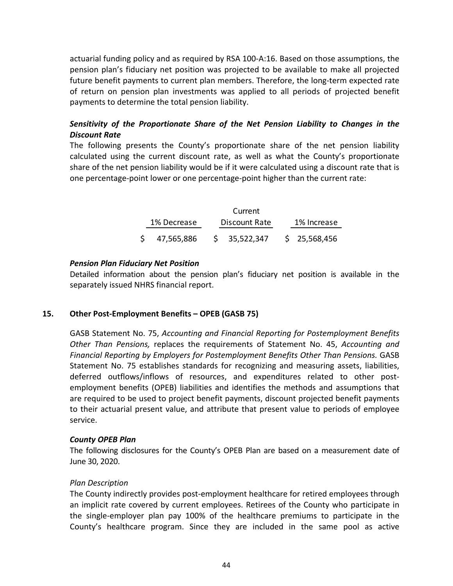actuarial funding policy and as required by RSA 100‐A:16. Based on those assumptions, the pension plan's fiduciary net position was projected to be available to make all projected future benefit payments to current plan members. Therefore, the long-term expected rate of return on pension plan investments was applied to all periods of projected benefit payments to determine the total pension liability.

# *Sensitivity of the Proportionate Share of the Net Pension Liability to Changes in the Discount Rate*

The following presents the County's proportionate share of the net pension liability calculated using the current discount rate, as well as what the County's proportionate share of the net pension liability would be if it were calculated using a discount rate that is one percentage‐point lower or one percentage‐point higher than the current rate:

|             | Current       |              |
|-------------|---------------|--------------|
| 1% Decrease | Discount Rate | 1% Increase  |
| 47,565,886  | \$35,522,347  | \$25,568,456 |

## *Pension Plan Fiduciary Net Position*

Detailed information about the pension plan's fiduciary net position is available in the separately issued NHRS financial report.

# **15. Other Post‐Employment Benefits – OPEB (GASB 75)**

GASB Statement No. 75, *Accounting and Financial Reporting for Postemployment Benefits Other Than Pensions,*  replaces the requirements of Statement No. 45, *Accounting and Financial Reporting by Employers for Postemployment Benefits Other Than Pensions.* GASB Statement No. 75 establishes standards for recognizing and measuring assets, liabilities, deferred outflows/inflows of resources, and expenditures related to other post‐ employment benefits (OPEB) liabilities and identifies the methods and assumptions that are required to be used to project benefit payments, discount projected benefit payments to their actuarial present value, and attribute that present value to periods of employee service.

## *County OPEB Plan*

The following disclosures for the County's OPEB Plan are based on a measurement date of June 30, 2020.

## *Plan Description*

The County indirectly provides post‐employment healthcare for retired employees through an implicit rate covered by current employees. Retirees of the County who participate in the single‐employer plan pay 100% of the healthcare premiums to participate in the County's healthcare program. Since they are included in the same pool as active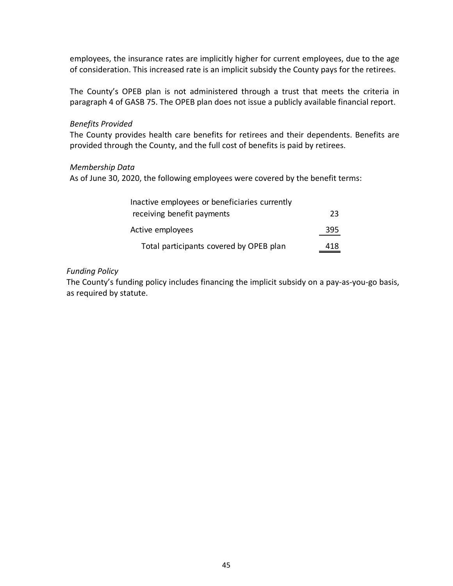employees, the insurance rates are implicitly higher for current employees, due to the age of consideration. This increased rate is an implicit subsidy the County pays for the retirees.

The County's OPEB plan is not administered through a trust that meets the criteria in paragraph 4 of GASB 75. The OPEB plan does not issue a publicly available financial report.

#### *Benefits Provided*

The County provides health care benefits for retirees and their dependents. Benefits are provided through the County, and the full cost of benefits is paid by retirees.

## *Membership Data*

As of June 30, 2020, the following employees were covered by the benefit terms:

| Inactive employees or beneficiaries currently |     |
|-----------------------------------------------|-----|
| receiving benefit payments                    | 23  |
| Active employees                              | 395 |
| Total participants covered by OPEB plan       | 418 |

## *Funding Policy*

The County's funding policy includes financing the implicit subsidy on a pay‐as‐you‐go basis, as required by statute.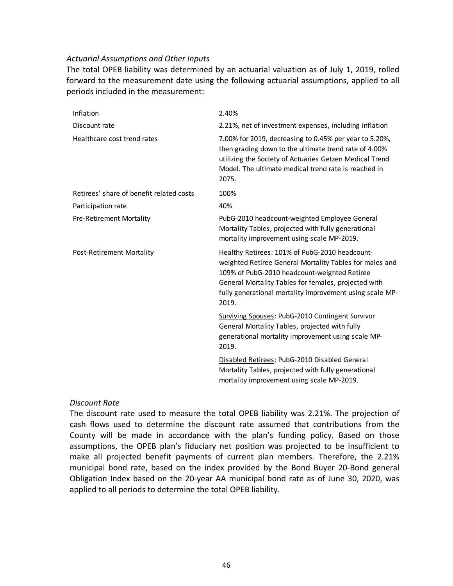#### *Actuarial Assumptions and Other Inputs*

The total OPEB liability was determined by an actuarial valuation as of July 1, 2019, rolled forward to the measurement date using the following actuarial assumptions, applied to all periods included in the measurement:

| Inflation                                | 2.40%                                                                                                                                                                                                                                                                                  |
|------------------------------------------|----------------------------------------------------------------------------------------------------------------------------------------------------------------------------------------------------------------------------------------------------------------------------------------|
| Discount rate                            | 2.21%, net of investment expenses, including inflation                                                                                                                                                                                                                                 |
| Healthcare cost trend rates              | 7.00% for 2019, decreasing to 0.45% per year to 5.20%,<br>then grading down to the ultimate trend rate of 4.00%<br>utilizing the Society of Actuaries Getzen Medical Trend<br>Model. The ultimate medical trend rate is reached in<br>2075.                                            |
| Retirees' share of benefit related costs | 100%                                                                                                                                                                                                                                                                                   |
| Participation rate                       | 40%                                                                                                                                                                                                                                                                                    |
| <b>Pre-Retirement Mortality</b>          | PubG-2010 headcount-weighted Employee General<br>Mortality Tables, projected with fully generational<br>mortality improvement using scale MP-2019.                                                                                                                                     |
| <b>Post-Retirement Mortality</b>         | Healthy Retirees: 101% of PubG-2010 headcount-<br>weighted Retiree General Mortality Tables for males and<br>109% of PubG-2010 headcount-weighted Retiree<br>General Mortality Tables for females, projected with<br>fully generational mortality improvement using scale MP-<br>2019. |
|                                          | Surviving Spouses: PubG-2010 Contingent Survivor<br>General Mortality Tables, projected with fully<br>generational mortality improvement using scale MP-<br>2019.                                                                                                                      |
|                                          | Disabled Retirees: PubG-2010 Disabled General<br>Mortality Tables, projected with fully generational<br>mortality improvement using scale MP-2019.                                                                                                                                     |

#### *Discount Rate*

The discount rate used to measure the total OPEB liability was 2.21%. The projection of cash flows used to determine the discount rate assumed that contributions from the County will be made in accordance with the plan's funding policy. Based on those assumptions, the OPEB plan's fiduciary net position was projected to be insufficient to make all projected benefit payments of current plan members. Therefore, the 2.21% municipal bond rate, based on the index provided by the Bond Buyer 20-Bond general Obligation Index based on the 20-year AA municipal bond rate as of June 30, 2020, was applied to all periods to determine the total OPEB liability.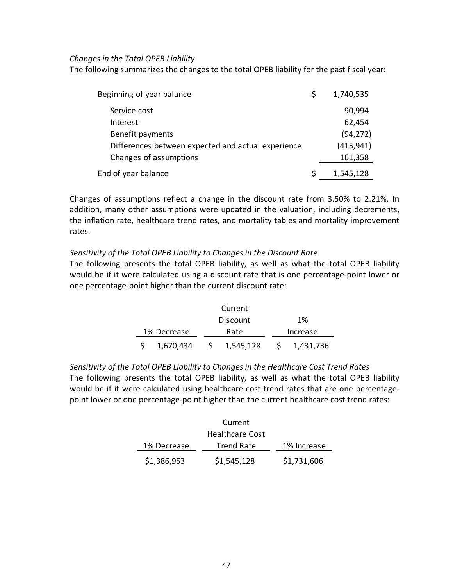#### *Changes in the Total OPEB Liability*

The following summarizes the changes to the total OPEB liability for the past fiscal year:

| Beginning of year balance                          | Ś | 1,740,535  |
|----------------------------------------------------|---|------------|
| Service cost                                       |   | 90,994     |
| Interest                                           |   | 62,454     |
| Benefit payments                                   |   | (94, 272)  |
| Differences between expected and actual experience |   | (415, 941) |
| Changes of assumptions                             |   | 161,358    |
| End of year balance                                |   | 1,545,128  |

Changes of assumptions reflect a change in the discount rate from 3.50% to 2.21%. In addition, many other assumptions were updated in the valuation, including decrements, the inflation rate, healthcare trend rates, and mortality tables and mortality improvement rates.

#### *Sensitivity of the Total OPEB Liability to Changes in the Discount Rate*

The following presents the total OPEB liability, as well as what the total OPEB liability would be if it were calculated using a discount rate that is one percentage‐point lower or one percentage‐point higher than the current discount rate:

|             |           | Current |                 |                 |          |  |
|-------------|-----------|---------|-----------------|-----------------|----------|--|
|             |           |         | <b>Discount</b> | 1%              |          |  |
| 1% Decrease |           | Rate    |                 |                 | Increase |  |
|             | 1,670,434 |         | \$1,545,128     | S.<br>1,431,736 |          |  |

*Sensitivity of the Total OPEB Liability to Changes in the Healthcare Cost Trend Rates*  The following presents the total OPEB liability, as well as what the total OPEB liability would be if it were calculated using healthcare cost trend rates that are one percentagepoint lower or one percentage-point higher than the current healthcare cost trend rates:

|                        | Current           |             |  |  |  |
|------------------------|-------------------|-------------|--|--|--|
| <b>Healthcare Cost</b> |                   |             |  |  |  |
| 1% Decrease            | <b>Trend Rate</b> | 1% Increase |  |  |  |
| \$1,386,953            | \$1,545,128       | \$1,731,606 |  |  |  |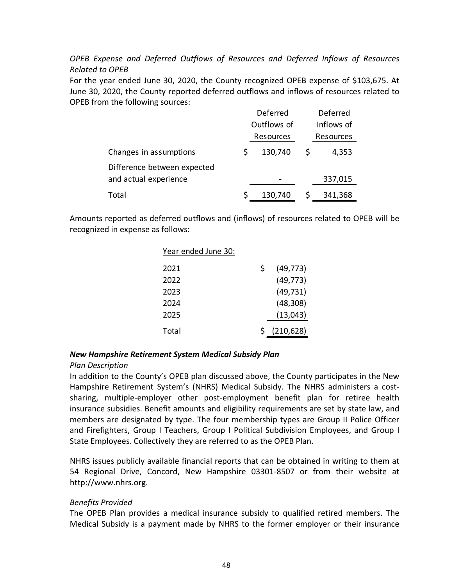# *OPEB Expense and Deferred Outflows of Resources and Deferred Inflows of Resources Related to OPEB*

For the year ended June 30, 2020, the County recognized OPEB expense of \$103,675. At June 30, 2020, the County reported deferred outflows and inflows of resources related to OPEB from the following sources:

|                             | Deferred    |   | Deferred   |
|-----------------------------|-------------|---|------------|
|                             | Outflows of |   | Inflows of |
|                             | Resources   |   | Resources  |
| Changes in assumptions      | 130,740     | S | 4,353      |
| Difference between expected |             |   |            |
| and actual experience       |             |   | 337,015    |
| Total                       | 130,740     |   | 341,368    |

Amounts reported as deferred outflows and (inflows) of resources related to OPEB will be recognized in expense as follows:

| Year ended June 30: |    |            |
|---------------------|----|------------|
| 2021                | S  | (49, 773)  |
| 2022                |    | (49, 773)  |
| 2023                |    | (49, 731)  |
| 2024                |    | (48, 308)  |
| 2025                |    | (13,043)   |
| Total               | S. | (210, 628) |

## *New Hampshire Retirement System Medical Subsidy Plan*

## *Plan Description*

In addition to the County's OPEB plan discussed above, the County participates in the New Hampshire Retirement System's (NHRS) Medical Subsidy. The NHRS administers a costsharing, multiple-employer other post-employment benefit plan for retiree health insurance subsidies. Benefit amounts and eligibility requirements are set by state law, and members are designated by type. The four membership types are Group II Police Officer and Firefighters, Group I Teachers, Group I Political Subdivision Employees, and Group I State Employees. Collectively they are referred to as the OPEB Plan.

NHRS issues publicly available financial reports that can be obtained in writing to them at 54 Regional Drive, Concord, New Hampshire 03301‐8507 or from their website at http://www.nhrs.org.

## *Benefits Provided*

The OPEB Plan provides a medical insurance subsidy to qualified retired members. The Medical Subsidy is a payment made by NHRS to the former employer or their insurance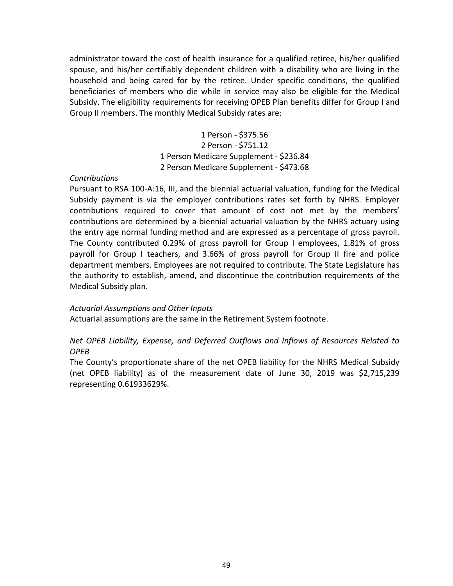administrator toward the cost of health insurance for a qualified retiree, his/her qualified spouse, and his/her certifiably dependent children with a disability who are living in the household and being cared for by the retiree. Under specific conditions, the qualified beneficiaries of members who die while in service may also be eligible for the Medical Subsidy. The eligibility requirements for receiving OPEB Plan benefits differ for Group I and Group II members. The monthly Medical Subsidy rates are:

> 1 Person ‐ \$375.56 2 Person ‐ \$751.12 1 Person Medicare Supplement ‐ \$236.84 2 Person Medicare Supplement ‐ \$473.68

## *Contributions*

Pursuant to RSA 100‐A:16, III, and the biennial actuarial valuation, funding for the Medical Subsidy payment is via the employer contributions rates set forth by NHRS. Employer contributions required to cover that amount of cost not met by the members' contributions are determined by a biennial actuarial valuation by the NHRS actuary using the entry age normal funding method and are expressed as a percentage of gross payroll. The County contributed 0.29% of gross payroll for Group I employees, 1.81% of gross payroll for Group I teachers, and 3.66% of gross payroll for Group II fire and police department members. Employees are not required to contribute. The State Legislature has the authority to establish, amend, and discontinue the contribution requirements of the Medical Subsidy plan.

## *Actuarial Assumptions and Other Inputs*

Actuarial assumptions are the same in the Retirement System footnote.

# *Net OPEB Liability, Expense, and Deferred Outflows and Inflows of Resources Related to OPEB*

The County's proportionate share of the net OPEB liability for the NHRS Medical Subsidy (net OPEB liability) as of the measurement date of June 30, 2019 was \$2,715,239 representing 0.61933629%.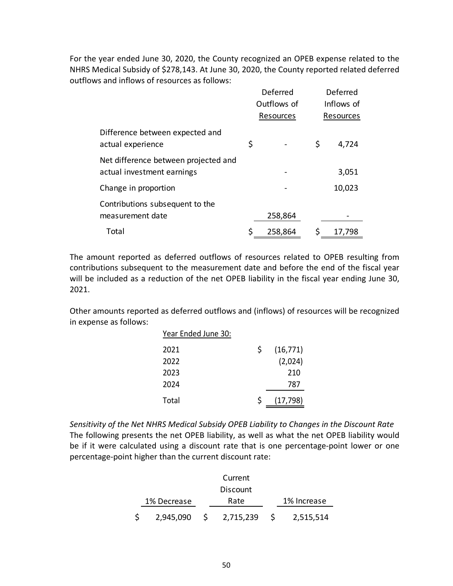For the year ended June 30, 2020, the County recognized an OPEB expense related to the NHRS Medical Subsidy of \$278,143. At June 30, 2020, the County reported related deferred outflows and inflows of resources as follows:

|                                                                    | Deferred<br>Outflows of |           |    | Deferred<br>Inflows of |
|--------------------------------------------------------------------|-------------------------|-----------|----|------------------------|
|                                                                    |                         | Resources |    | Resources              |
| Difference between expected and<br>actual experience               | \$                      |           | \$ | 4,724                  |
| Net difference between projected and<br>actual investment earnings |                         |           |    | 3,051                  |
| Change in proportion                                               |                         |           |    | 10,023                 |
| Contributions subsequent to the<br>measurement date                |                         | 258,864   |    |                        |
| Total                                                              |                         | 258,864   | Ş  | 17,798                 |

The amount reported as deferred outflows of resources related to OPEB resulting from contributions subsequent to the measurement date and before the end of the fiscal year will be included as a reduction of the net OPEB liability in the fiscal year ending June 30, 2021.

Other amounts reported as deferred outflows and (inflows) of resources will be recognized in expense as follows:

| Year Ended June 30: |   |           |
|---------------------|---|-----------|
| 2021                | S | (16, 771) |
| 2022                |   | (2,024)   |
| 2023                |   | 210       |
| 2024                |   | 787       |
| Total               | ς | (17, 798) |

*Sensitivity of the Net NHRS Medical Subsidy OPEB Liability to Changes in the Discount Rate*  The following presents the net OPEB liability, as well as what the net OPEB liability would be if it were calculated using a discount rate that is one percentage-point lower or one percentage‐point higher than the current discount rate:

|             |    | Current     |  |           |
|-------------|----|-------------|--|-----------|
|             |    |             |  |           |
| 1% Decrease |    | 1% Increase |  |           |
| 2,945,090   | -S | 2,715,239   |  | 2,515,514 |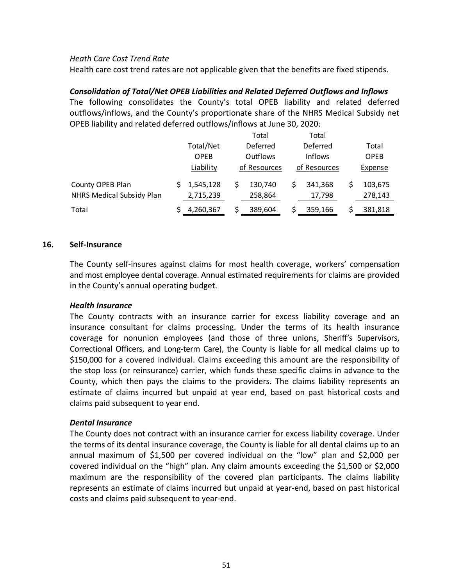## *Heath Care Cost Trend Rate*

Health care cost trend rates are not applicable given that the benefits are fixed stipends.

*Consolidation of Total/Net OPEB Liabilities and Related Deferred Outflows and Inflows*  The following consolidates the County's total OPEB liability and related deferred outflows/inflows, and the County's proportionate share of the NHRS Medical Subsidy net OPEB liability and related deferred outflows/inflows at June 30, 2020:

|                           |             | Total         | Total          |             |
|---------------------------|-------------|---------------|----------------|-------------|
|                           | Total/Net   | Deferred      | Deferred       | Total       |
|                           | <b>OPEB</b> | Outflows      | <b>Inflows</b> | <b>OPEB</b> |
|                           | Liability   | of Resources  | of Resources   | Expense     |
| County OPEB Plan          | 1,545,128   | 130,740       | 341.368        | 103,675     |
| NHRS Medical Subsidy Plan | 2,715,239   | 258,864       | 17,798         | 278,143     |
| Total                     | 4,260,367   | \$<br>389,604 | 359,166        | 381,818     |

#### **16. Self‐Insurance**

The County self-insures against claims for most health coverage, workers' compensation and most employee dental coverage. Annual estimated requirements for claims are provided in the County's annual operating budget.

#### *Health Insurance*

The County contracts with an insurance carrier for excess liability coverage and an insurance consultant for claims processing. Under the terms of its health insurance coverage for nonunion employees (and those of three unions, Sheriff's Supervisors, Correctional Officers, and Long‐term Care), the County is liable for all medical claims up to \$150,000 for a covered individual. Claims exceeding this amount are the responsibility of the stop loss (or reinsurance) carrier, which funds these specific claims in advance to the County, which then pays the claims to the providers. The claims liability represents an estimate of claims incurred but unpaid at year end, based on past historical costs and claims paid subsequent to year end.

## *Dental Insurance*

The County does not contract with an insurance carrier for excess liability coverage. Under the terms of its dental insurance coverage, the County is liable for all dental claims up to an annual maximum of \$1,500 per covered individual on the "low" plan and \$2,000 per covered individual on the "high" plan. Any claim amounts exceeding the \$1,500 or \$2,000 maximum are the responsibility of the covered plan participants. The claims liability represents an estimate of claims incurred but unpaid at year‐end, based on past historical costs and claims paid subsequent to year‐end.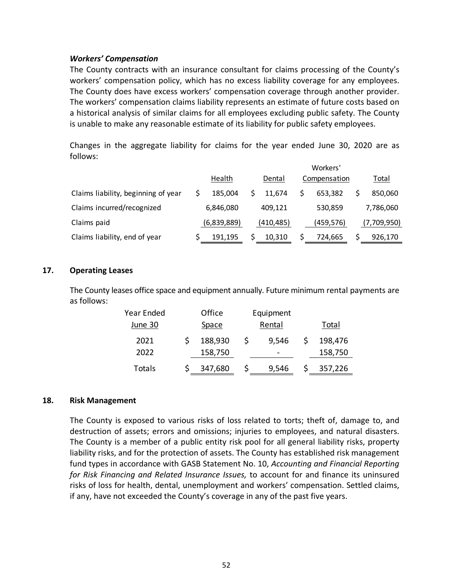#### *Workers' Compensation*

The County contracts with an insurance consultant for claims processing of the County's workers' compensation policy, which has no excess liability coverage for any employees. The County does have excess workers' compensation coverage through another provider. The workers' compensation claims liability represents an estimate of future costs based on a historical analysis of similar claims for all employees excluding public safety. The County is unable to make any reasonable estimate of its liability for public safety employees.

Changes in the aggregate liability for claims for the year ended June 30, 2020 are as follows:

|                                     | Health      | Compensation<br>Dental |              |             |  |
|-------------------------------------|-------------|------------------------|--------------|-------------|--|
| Claims liability, beginning of year | 185,004     | 11,674                 | Ś<br>653.382 | 850.060     |  |
| Claims incurred/recognized          | 6,846,080   | 409.121                | 530,859      | 7,786,060   |  |
| Claims paid                         | (6,839,889) | (410, 485)             | (459, 576)   | (7,709,950) |  |
| Claims liability, end of year       | 191,195     | 10,310                 | 724,665      | 926,170     |  |

#### **17. Operating Leases**

The County leases office space and equipment annually. Future minimum rental payments are as follows:

| Year Ended | Office  |   |        |         |
|------------|---------|---|--------|---------|
| June 30    | Space   |   | Rental | Total   |
| 2021       | 188,930 | S | 9,546  | 198,476 |
| 2022       | 158,750 |   |        | 158,750 |
| Totals     | 347,680 |   | 9,546  | 357,226 |

#### **18. Risk Management**

The County is exposed to various risks of loss related to torts; theft of, damage to, and destruction of assets; errors and omissions; injuries to employees, and natural disasters. The County is a member of a public entity risk pool for all general liability risks, property liability risks, and for the protection of assets. The County has established risk management fund types in accordance with GASB Statement No. 10, *Accounting and Financial Reporting for Risk Financing and Related Insurance Issues,* to account for and finance its uninsured risks of loss for health, dental, unemployment and workers' compensation. Settled claims, if any, have not exceeded the County's coverage in any of the past five years.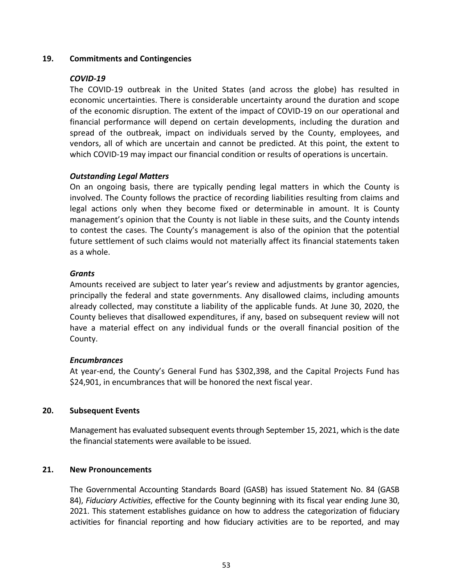#### **19. Commitments and Contingencies**

## *COVID‐19*

The COVID-19 outbreak in the United States (and across the globe) has resulted in economic uncertainties. There is considerable uncertainty around the duration and scope of the economic disruption. The extent of the impact of COVID‐19 on our operational and financial performance will depend on certain developments, including the duration and spread of the outbreak, impact on individuals served by the County, employees, and vendors, all of which are uncertain and cannot be predicted. At this point, the extent to which COVID-19 may impact our financial condition or results of operations is uncertain.

## *Outstanding Legal Matters*

On an ongoing basis, there are typically pending legal matters in which the County is involved. The County follows the practice of recording liabilities resulting from claims and legal actions only when they become fixed or determinable in amount. It is County management's opinion that the County is not liable in these suits, and the County intends to contest the cases. The County's management is also of the opinion that the potential future settlement of such claims would not materially affect its financial statements taken as a whole.

#### *Grants*

Amounts received are subject to later year's review and adjustments by grantor agencies, principally the federal and state governments. Any disallowed claims, including amounts already collected, may constitute a liability of the applicable funds. At June 30, 2020, the County believes that disallowed expenditures, if any, based on subsequent review will not have a material effect on any individual funds or the overall financial position of the County.

#### *Encumbrances*

At year‐end, the County's General Fund has \$302,398, and the Capital Projects Fund has \$24,901, in encumbrances that will be honored the next fiscal year.

## **20. Subsequent Events**

Management has evaluated subsequent events through September 15, 2021, which is the date the financial statements were available to be issued.

#### **21. New Pronouncements**

The Governmental Accounting Standards Board (GASB) has issued Statement No. 84 (GASB 84), *Fiduciary Activities*, effective for the County beginning with its fiscal year ending June 30, 2021. This statement establishes guidance on how to address the categorization of fiduciary activities for financial reporting and how fiduciary activities are to be reported, and may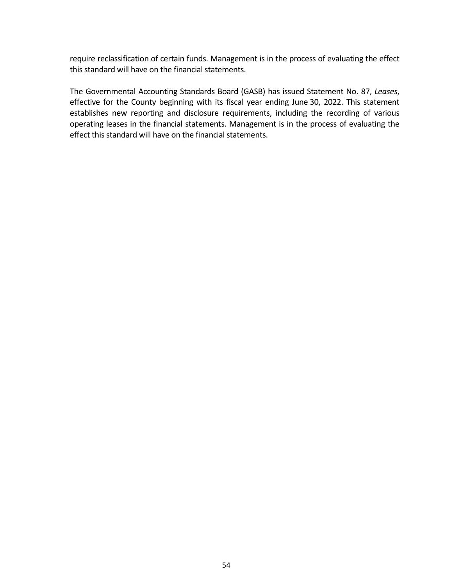require reclassification of certain funds. Management is in the process of evaluating the effect this standard will have on the financial statements.

The Governmental Accounting Standards Board (GASB) has issued Statement No. 87, *Leases*, effective for the County beginning with its fiscal year ending June 30, 2022. This statement establishes new reporting and disclosure requirements, including the recording of various operating leases in the financial statements. Management is in the process of evaluating the effect this standard will have on the financial statements.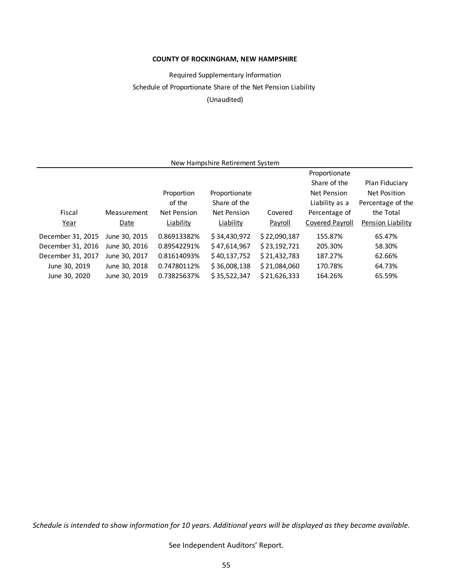Schedule of Proportionate Share of the Net Pension Liability Required Supplementary Information (Unaudited)

| New Hampshire Retirement System |             |                    |              |                 |                     |  |  |  |  |  |
|---------------------------------|-------------|--------------------|--------------|-----------------|---------------------|--|--|--|--|--|
|                                 |             |                    |              | Proportionate   |                     |  |  |  |  |  |
|                                 |             |                    |              | Share of the    | Plan Fiduciary      |  |  |  |  |  |
|                                 | Proportion  | Proportionate      |              | Net Pension     | <b>Net Position</b> |  |  |  |  |  |
|                                 | of the      | Share of the       |              | Liability as a  | Percentage of the   |  |  |  |  |  |
| Measurement                     | Net Pension | <b>Net Pension</b> | Covered      | Percentage of   | the Total           |  |  |  |  |  |
| Date                            | Liability   | Liability          | Payroll      | Covered Payroll | Pension Liability   |  |  |  |  |  |
| June 30, 2015                   | 0.86913382% | \$34,430,972       | \$22,090,187 | 155.87%         | 65.47%              |  |  |  |  |  |
| June 30, 2016                   | 0.89542291% | \$47,614,967       | \$23,192,721 | 205.30%         | 58.30%              |  |  |  |  |  |
| June 30, 2017                   | 0.81614093% | \$40,137,752       | \$21,432,783 | 187.27%         | 62.66%              |  |  |  |  |  |
| June 30, 2018                   | 0.74780112% | \$36,008,138       | \$21,084,060 | 170.78%         | 64.73%              |  |  |  |  |  |
| June 30, 2019                   | 0.73825637% | \$35,522,347       | \$21,626,333 | 164.26%         | 65.59%              |  |  |  |  |  |
|                                 |             |                    |              |                 |                     |  |  |  |  |  |

 $\overline{a}$ 

*Schedule is intended to show information for 10 years. Additional years will be displayed as they become available.*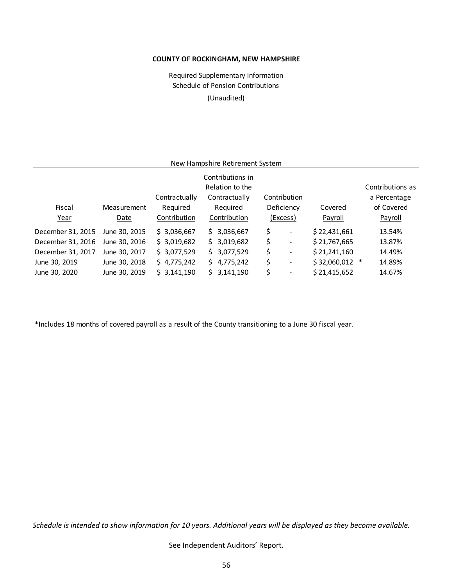(Unaudited) Schedule of Pension Contributions Required Supplementary Information

| New Hampshire Retirement System |               |               |                                                      |          |                          |                 |                                  |  |  |  |  |
|---------------------------------|---------------|---------------|------------------------------------------------------|----------|--------------------------|-----------------|----------------------------------|--|--|--|--|
|                                 |               | Contractually | Contributions in<br>Relation to the<br>Contractually |          | Contribution             |                 | Contributions as<br>a Percentage |  |  |  |  |
| Fiscal                          | Measurement   | Required      | Required                                             |          | Deficiency               | Covered         | of Covered                       |  |  |  |  |
| Year                            | Date          | Contribution  | Contribution                                         | (Excess) |                          | Payroll         | Payroll                          |  |  |  |  |
| December 31, 2015               | June 30, 2015 | \$3,036,667   | 3,036,667<br>S.                                      | \$       | $\blacksquare$           | \$22,431,661    | 13.54%                           |  |  |  |  |
| December 31, 2016               | June 30, 2016 | \$3,019,682   | \$3,019,682                                          | \$       | -                        | \$21,767,665    | 13.87%                           |  |  |  |  |
| December 31, 2017               | June 30, 2017 | \$3,077,529   | \$3,077,529                                          | \$       | ۰                        | \$21,241,160    | 14.49%                           |  |  |  |  |
| June 30, 2019                   | June 30, 2018 | \$4,775,242   | \$4,775,242                                          | \$       | ۰                        | $$32,060,012$ * | 14.89%                           |  |  |  |  |
| June 30, 2020                   | June 30, 2019 | \$3,141,190   | 3,141,190<br>Ś.                                      | \$       | $\overline{\phantom{a}}$ | \$21,415,652    | 14.67%                           |  |  |  |  |

\*Includes 18 months of covered payroll as a result of the County transitioning to a June 30 fiscal year.

*Schedule is intended to show information for 10 years. Additional years will be displayed as they become available.*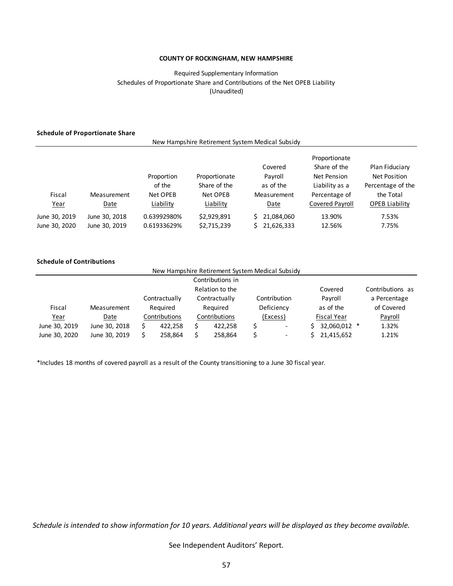#### Schedules of Proportionate Share and Contributions of the Net OPEB Liability (Unaudited) Required Supplementary Information

#### **Schedule of Proportionate Share**

|               |             |               |                  | Proportionate   |                                                 |  |  |  |  |  |  |
|---------------|-------------|---------------|------------------|-----------------|-------------------------------------------------|--|--|--|--|--|--|
|               |             |               | Covered          | Share of the    | Plan Fiduciary                                  |  |  |  |  |  |  |
|               | Proportion  | Proportionate | Payroll          | Net Pension     | Net Position                                    |  |  |  |  |  |  |
|               | of the      | Share of the  | as of the        | Liability as a  | Percentage of the                               |  |  |  |  |  |  |
| Measurement   | Net OPEB    | Net OPEB      | Measurement      | Percentage of   | the Total                                       |  |  |  |  |  |  |
| Date          | Liability   | Liability     | Date             | Covered Payroll | <b>OPEB Liability</b>                           |  |  |  |  |  |  |
| June 30, 2018 | 0.63992980% | \$2,929,891   | 21,084,060<br>S. | 13.90%          | 7.53%                                           |  |  |  |  |  |  |
| June 30, 2019 | 0.61933629% | \$2,715,239   | 21,626,333       | 12.56%          | 7.75%                                           |  |  |  |  |  |  |
|               |             |               |                  |                 | New Hampshire Retirement System Medical Subsidy |  |  |  |  |  |  |

#### **Schedule of Contributions**

|                  | New Hampshire Retirement System Medical Subsidy |  |               |               |                 |         |            |              |                    |  |                  |  |  |
|------------------|-------------------------------------------------|--|---------------|---------------|-----------------|---------|------------|--------------|--------------------|--|------------------|--|--|
| Contributions in |                                                 |  |               |               |                 |         |            |              |                    |  |                  |  |  |
|                  |                                                 |  |               |               | Relation to the |         |            |              | Covered            |  | Contributions as |  |  |
|                  |                                                 |  | Contractually | Contractually |                 | Payroll |            | a Percentage |                    |  |                  |  |  |
| Fiscal           | Measurement                                     |  | Required      |               | Required        |         | Deficiency |              | as of the          |  | of Covered       |  |  |
| Year             | Date                                            |  | Contributions |               | Contributions   |         | (Excess)   |              | <b>Fiscal Year</b> |  | Payroll          |  |  |
| June 30, 2019    | June 30, 2018                                   |  | 422.258       |               | 422.258         |         |            |              | 32,060,012 *       |  | 1.32%            |  |  |
| June 30, 2020    | June 30, 2019                                   |  | 258,864       |               | 258,864         |         |            |              | 21,415,652         |  | 1.21%            |  |  |

\*Includes 18 months of covered payroll as a result of the County transitioning to a June 30 fiscal year.

*Schedule is intended to show information for 10 years. Additional years will be displayed as they become available.*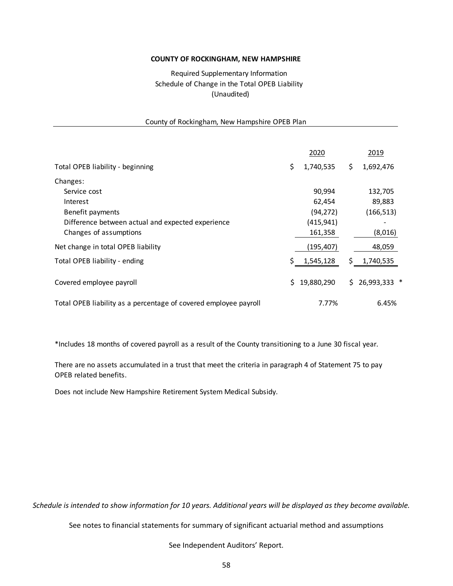## (Unaudited) Required Supplementary Information Schedule of Change in the Total OPEB Liability

#### County of Rockingham, New Hampshire OPEB Plan

|                                                                  |    | 2020       |     | 2019            |
|------------------------------------------------------------------|----|------------|-----|-----------------|
| Total OPEB liability - beginning                                 | \$ | 1,740,535  | \$  | 1,692,476       |
| Changes:                                                         |    |            |     |                 |
| Service cost                                                     |    | 90,994     |     | 132,705         |
| Interest                                                         |    | 62,454     |     | 89,883          |
| Benefit payments                                                 |    | (94, 272)  |     | (166, 513)      |
| Difference between actual and expected experience                |    | (415,941)  |     |                 |
| Changes of assumptions                                           |    | 161,358    |     | (8,016)         |
| Net change in total OPEB liability                               |    | (195,407)  |     | 48,059          |
| Total OPEB liability - ending                                    |    | 1,545,128  | \$. | 1,740,535       |
| Covered employee payroll                                         | Ś. | 19,880,290 |     | $$26,993,333$ * |
| Total OPEB liability as a percentage of covered employee payroll |    | 7.77%      |     | 6.45%           |

\*Includes 18 months of covered payroll as a result of the County transitioning to a June 30 fiscal year.

There are no assets accumulated in a trust that meet the criteria in paragraph 4 of Statement 75 to pay OPEB related benefits.

Does not include New Hampshire Retirement System Medical Subsidy.

*Schedule is intended to show information for 10 years. Additional years will be displayed as they become available.* 

See notes to financial statements for summary of significant actuarial method and assumptions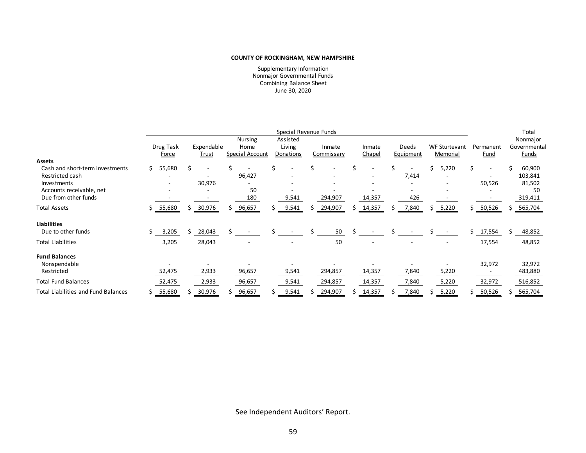Nonmajor Governmental Funds Combining Balance Sheet June 30, 2020 Supplementary Information

|                                                    |              |                                |                        |                    | Special Revenue Funds |                                    |           |                          |                                | Total                    |
|----------------------------------------------------|--------------|--------------------------------|------------------------|--------------------|-----------------------|------------------------------------|-----------|--------------------------|--------------------------------|--------------------------|
|                                                    | Drug Task    | Expendable                     | Nursing<br>Home        | Assisted<br>Living | Inmate                | Inmate                             | Deeds     | <b>WF Sturtevant</b>     | Permanent                      | Nonmajor<br>Governmental |
| <b>Assets</b>                                      | Force        | Trust                          | <b>Special Account</b> | Donations          | Commissary            | Chapel                             | Equipment | Memorial                 | Fund                           | Funds                    |
| Cash and short-term investments<br>Restricted cash | 55,680<br>Ś. | Ś.<br>$\overline{\phantom{a}}$ | 96,427                 |                    | Ś                     | S<br>$\overline{\phantom{a}}$<br>٠ | 7,414     | Ś<br>5,220               | Ś.<br>$\overline{\phantom{a}}$ | 60,900<br>103,841        |
| Investments<br>Accounts receivable, net            |              | 30,976                         | 50                     |                    |                       | ۰                                  | ٠         | $\overline{\phantom{a}}$ | 50,526                         | 81,502<br>50             |
| Due from other funds                               |              |                                | 180                    | 9,541              | 294,907               | 14,357                             | 426       |                          |                                | 319,411                  |
| <b>Total Assets</b>                                | 55,680       | 30,976<br>Ś.                   | 96,657<br>S.           | 9,541              | 294,907               | 14,357                             | 7,840     | 5,220                    | 50,526                         | 565,704                  |
| <b>Liabilities</b><br>Due to other funds           | Ś.<br>3,205  | 28,043                         |                        |                    | 50                    |                                    |           |                          | 17,554                         | 48,852                   |
| <b>Total Liabilities</b>                           | 3,205        | 28,043                         |                        |                    | 50                    |                                    |           | $\overline{\phantom{a}}$ | 17,554                         | 48,852                   |
| <b>Fund Balances</b>                               |              |                                |                        |                    |                       |                                    |           |                          |                                |                          |
| Nonspendable<br>Restricted                         | 52,475       | 2,933                          | 96,657                 | 9,541              | 294,857               | 14,357                             | 7,840     | 5,220                    | 32,972                         | 32,972<br>483,880        |
| <b>Total Fund Balances</b>                         | 52,475       | 2,933                          | 96,657                 | 9,541              | 294,857               | 14,357                             | 7,840     | 5,220                    | 32,972                         | 516,852                  |
| <b>Total Liabilities and Fund Balances</b>         | 55,680       | 30,976                         | 96,657                 | 9,541              | 294,907               | 14,357                             | 7,840     | 5,220                    | 50,526                         | 565,704                  |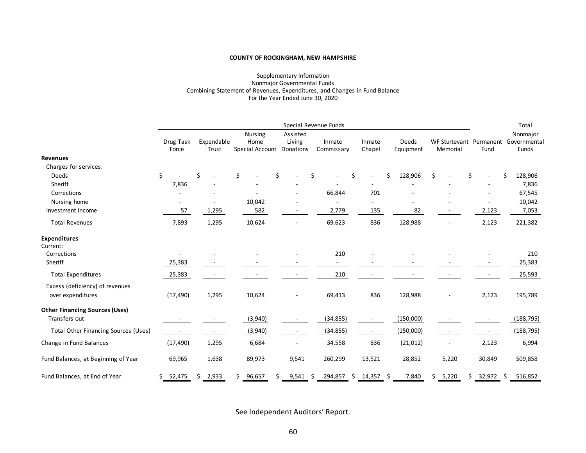#### Nonmajor Governmental Funds Combining Statement of Revenues, Expenditures, and Changes in Fund Balance For the Year Ended June 30, 2020 Supplementary Information

|                                                      |                    |                     |                                           |                                 | Special Revenue Funds    |                  |                    |                                     |               | Total                             |
|------------------------------------------------------|--------------------|---------------------|-------------------------------------------|---------------------------------|--------------------------|------------------|--------------------|-------------------------------------|---------------|-----------------------------------|
|                                                      | Drug Task<br>Force | Expendable<br>Trust | Nursing<br>Home<br><b>Special Account</b> | Assisted<br>Living<br>Donations | Inmate<br>Commissary     | Inmate<br>Chapel | Deeds<br>Equipment | WF Sturtevant Permanent<br>Memorial | Fund          | Nonmajor<br>Governmental<br>Funds |
| <b>Revenues</b>                                      |                    |                     |                                           |                                 |                          |                  |                    |                                     |               |                                   |
| Charges for services:                                |                    |                     |                                           |                                 |                          |                  |                    |                                     |               |                                   |
| Deeds                                                | \$                 | Ś.                  | \$                                        | Ś.                              | \$<br>\$                 | $\blacksquare$   | Ś<br>128,906       | \$                                  | Ś             | Ś<br>128,906                      |
| Sheriff                                              | 7,836              |                     |                                           |                                 |                          |                  |                    |                                     |               | 7,836                             |
| Corrections                                          |                    |                     |                                           |                                 | 66,844                   | 701              |                    |                                     |               | 67,545                            |
| Nursing home                                         |                    |                     | 10,042                                    |                                 |                          |                  |                    |                                     |               | 10,042                            |
| Investment income                                    | 57                 | 1,295               | 582                                       |                                 | 2,779                    | 135              | 82                 |                                     | 2,123         | 7,053                             |
| <b>Total Revenues</b>                                | 7,893              | 1,295               | 10,624                                    |                                 | 69,623                   | 836              | 128,988            |                                     | 2,123         | 221,382                           |
| <b>Expenditures</b><br>Current:                      |                    |                     |                                           |                                 |                          |                  |                    |                                     |               |                                   |
| Corrections                                          |                    |                     |                                           |                                 | 210                      |                  |                    |                                     |               | 210                               |
| Sheriff                                              | 25,383             |                     |                                           |                                 | $\overline{\phantom{a}}$ |                  |                    |                                     |               | 25,383                            |
| <b>Total Expenditures</b>                            | 25,383             |                     |                                           |                                 | 210                      |                  |                    |                                     |               | 25,593                            |
| Excess (deficiency) of revenues<br>over expenditures | (17, 490)          | 1,295               | 10,624                                    |                                 | 69,413                   | 836              | 128,988            |                                     | 2,123         | 195,789                           |
| <b>Other Financing Sources (Uses)</b>                |                    |                     |                                           |                                 |                          |                  |                    |                                     |               |                                   |
| Transfers out                                        |                    |                     | (3,940)                                   |                                 | (34, 855)                |                  | (150,000)          |                                     |               | (188, 795)                        |
| Total Other Financing Sources (Uses)                 |                    |                     | (3,940)                                   |                                 | (34,855)                 |                  | (150,000)          |                                     |               | (188, 795)                        |
| Change in Fund Balances                              | (17, 490)          | 1,295               | 6,684                                     |                                 | 34,558                   | 836              | (21, 012)          |                                     | 2,123         | 6,994                             |
| Fund Balances, at Beginning of Year                  | 69,965             | 1,638               | 89,973                                    | 9,541                           | 260,299                  | 13,521           | 28,852             | 5,220                               | 30,849        | 509,858                           |
| Fund Balances, at End of Year                        | \$<br>52,475       | 2,933<br>Ŝ.         | \$<br>96,657                              | 9,541<br>Ś                      | 294,857<br>Ŝ.<br>\$      | 14,357           | -\$<br>7,840       | \$<br>5,220                         | 32,972<br>\$. | -\$<br>516,852                    |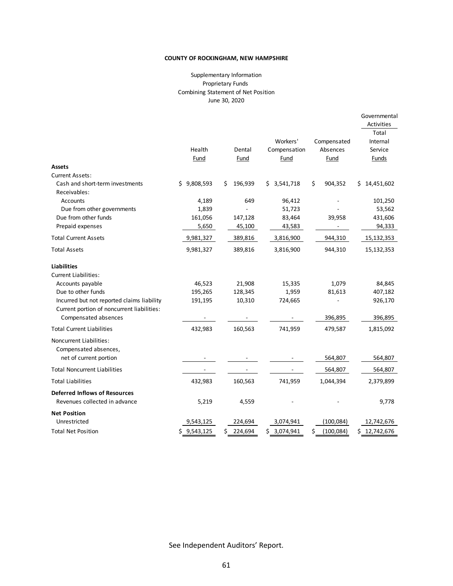#### Proprietary Funds Combining Statement of Net Position June 30, 2020 Supplementary Information

|                                                                                   |                  |                |                                  |                                 | Governmental<br>Activities<br>Total |
|-----------------------------------------------------------------------------------|------------------|----------------|----------------------------------|---------------------------------|-------------------------------------|
|                                                                                   | Health<br>Fund   | Dental<br>Fund | Workers'<br>Compensation<br>Fund | Compensated<br>Absences<br>Fund | Internal<br>Service<br>Funds        |
| <b>Assets</b><br><b>Current Assets:</b>                                           |                  |                |                                  |                                 |                                     |
| Cash and short-term investments<br>Receivables:                                   | \$9,808,593      | Ŝ.<br>196,939  | \$3,541,718                      | \$<br>904,352                   | \$14,451,602                        |
| <b>Accounts</b>                                                                   | 4,189            | 649            | 96,412                           |                                 | 101,250                             |
| Due from other governments                                                        | 1,839            |                | 51,723                           |                                 | 53,562                              |
| Due from other funds                                                              | 161,056          | 147,128        | 83,464                           | 39,958                          | 431,606                             |
| Prepaid expenses                                                                  | 5,650            | 45,100         | 43,583                           |                                 | 94,333                              |
| <b>Total Current Assets</b>                                                       | 9,981,327        | 389,816        | 3,816,900                        | 944,310                         | 15,132,353                          |
| <b>Total Assets</b>                                                               | 9,981,327        | 389,816        | 3,816,900                        | 944,310                         | 15,132,353                          |
| <b>Liabilities</b>                                                                |                  |                |                                  |                                 |                                     |
| <b>Current Liabilities:</b>                                                       |                  |                |                                  |                                 |                                     |
| Accounts payable                                                                  | 46,523           | 21,908         | 15,335                           | 1,079                           | 84,845                              |
| Due to other funds                                                                | 195,265          | 128,345        | 1,959                            | 81,613                          | 407,182                             |
| Incurred but not reported claims liability                                        | 191,195          | 10,310         | 724,665                          |                                 | 926,170                             |
| Current portion of noncurrent liabilities:<br>Compensated absences                |                  |                |                                  | 396,895                         | 396,895                             |
| <b>Total Current Liabilities</b>                                                  | 432,983          | 160,563        | 741,959                          | 479,587                         | 1,815,092                           |
| <b>Noncurrent Liabilities:</b><br>Compensated absences,<br>net of current portion |                  |                |                                  | 564,807                         | 564,807                             |
| <b>Total Noncurrent Liabilities</b>                                               |                  |                |                                  | 564,807                         | 564,807                             |
| <b>Total Liabilities</b>                                                          | 432,983          | 160,563        | 741,959                          | 1,044,394                       | 2,379,899                           |
| <b>Deferred Inflows of Resources</b>                                              |                  |                |                                  |                                 |                                     |
| Revenues collected in advance                                                     | 5,219            | 4,559          |                                  |                                 | 9,778                               |
| <b>Net Position</b>                                                               |                  |                |                                  |                                 |                                     |
| Unrestricted                                                                      | 9,543,125        | 224,694        | 3,074,941                        | (100, 084)                      | 12,742,676                          |
| <b>Total Net Position</b>                                                         | 9,543,125<br>\$. | 224,694<br>\$  | \$3,074,941                      | \$<br>(100, 084)                | \$12,742,676                        |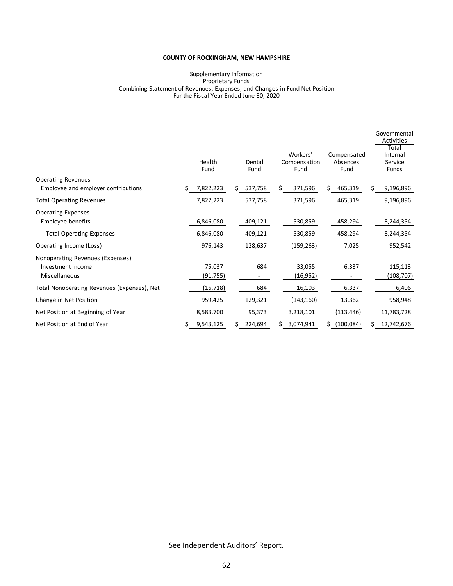#### Proprietary Funds Combining Statement of Revenues, Expenses, and Changes in Fund Net Position For the Fiscal Year Ended June 30, 2020 Supplementary Information

|                                                                        |                    |                |                                  |                                 | Governmental<br>Activities            |
|------------------------------------------------------------------------|--------------------|----------------|----------------------------------|---------------------------------|---------------------------------------|
|                                                                        | Health<br>Fund     | Dental<br>Fund | Workers'<br>Compensation<br>Fund | Compensated<br>Absences<br>Fund | Total<br>Internal<br>Service<br>Funds |
| <b>Operating Revenues</b><br>Employee and employer contributions       | 7,822,223<br>Ś.    | 537,758<br>Ś.  | \$<br>371,596                    | Ś.<br>465,319                   | Ś.<br>9,196,896                       |
| <b>Total Operating Revenues</b>                                        | 7,822,223          | 537,758        | 371,596                          | 465,319                         | 9,196,896                             |
| <b>Operating Expenses</b><br><b>Employee benefits</b>                  | 6,846,080          | 409,121        | 530,859                          | 458,294                         | 8,244,354                             |
| <b>Total Operating Expenses</b>                                        | 6,846,080          | 409,121        | 530,859                          | 458,294                         | 8,244,354                             |
| Operating Income (Loss)                                                | 976,143            | 128,637        | (159, 263)                       | 7,025                           | 952,542                               |
| Nonoperating Revenues (Expenses)<br>Investment income<br>Miscellaneous | 75,037<br>(91,755) | 684            | 33,055<br>(16,952)               | 6,337                           | 115,113<br>(108,707)                  |
| Total Nonoperating Revenues (Expenses), Net                            | (16,718)           | 684            | 16,103                           | 6,337                           | 6,406                                 |
| Change in Net Position                                                 | 959,425            | 129,321        | (143, 160)                       | 13,362                          | 958,948                               |
| Net Position at Beginning of Year                                      | 8,583,700          | 95,373         | 3,218,101                        | (113,446)                       | 11,783,728                            |
| Net Position at End of Year                                            | 9,543,125          | 224,694        | 3,074,941<br>S.                  | (100, 084)                      | Ś.<br>12,742,676                      |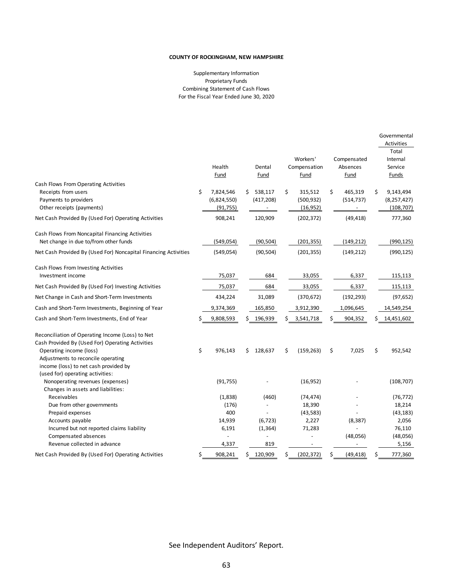Proprietary Funds Combining Statement of Cash Flows For the Fiscal Year Ended June 30, 2020 Supplementary Information

|                                                                                                                                                                                                                                                    |    | Health<br>Fund |    | Dental<br>Fund           |    | Workers'<br>Compensation<br>Fund | Compensated<br>Absences<br>Fund |    | Governmental<br>Activities<br>Total<br>Internal<br>Service<br>Funds |
|----------------------------------------------------------------------------------------------------------------------------------------------------------------------------------------------------------------------------------------------------|----|----------------|----|--------------------------|----|----------------------------------|---------------------------------|----|---------------------------------------------------------------------|
| Cash Flows From Operating Activities                                                                                                                                                                                                               |    |                |    |                          |    |                                  |                                 |    |                                                                     |
| Receipts from users                                                                                                                                                                                                                                | \$ | 7,824,546      | \$ | 538,117                  | \$ | 315,512                          | \$<br>465,319                   | \$ | 9,143,494                                                           |
| Payments to providers                                                                                                                                                                                                                              |    | (6,824,550)    |    | (417, 208)               |    | (500, 932)                       | (514, 737)                      |    | (8, 257, 427)                                                       |
| Other receipts (payments)                                                                                                                                                                                                                          |    | (91, 755)      |    | $\overline{\phantom{a}}$ |    | (16, 952)                        | $\overline{\phantom{a}}$        |    | (108, 707)                                                          |
| Net Cash Provided By (Used For) Operating Activities                                                                                                                                                                                               |    | 908,241        |    | 120,909                  |    | (202, 372)                       | (49, 418)                       |    | 777,360                                                             |
| Cash Flows From Noncapital Financing Activities                                                                                                                                                                                                    |    |                |    |                          |    |                                  |                                 |    |                                                                     |
| Net change in due to/from other funds                                                                                                                                                                                                              |    | (549, 054)     |    | (90, 504)                |    | (201, 355)                       | (149, 212)                      |    | (990, 125)                                                          |
| Net Cash Provided By (Used For) Noncapital Financing Activities                                                                                                                                                                                    |    | (549, 054)     |    | (90, 504)                |    | (201, 355)                       | (149, 212)                      |    | (990, 125)                                                          |
| Cash Flows From Investing Activities<br>Investment income                                                                                                                                                                                          |    | 75,037         |    | 684                      |    | 33,055                           | 6,337                           |    | 115,113                                                             |
| Net Cash Provided By (Used For) Investing Activities                                                                                                                                                                                               |    | 75,037         |    | 684                      |    | 33,055                           | 6,337                           |    | 115,113                                                             |
|                                                                                                                                                                                                                                                    |    | 434,224        |    |                          |    |                                  |                                 |    |                                                                     |
| Net Change in Cash and Short-Term Investments                                                                                                                                                                                                      |    |                |    | 31,089                   |    | (370, 672)                       | (192, 293)                      |    | (97, 652)                                                           |
| Cash and Short-Term Investments, Beginning of Year                                                                                                                                                                                                 |    | 9,374,369      |    | 165,850                  |    | 3,912,390                        | 1,096,645                       |    | 14,549,254                                                          |
| Cash and Short-Term Investments, End of Year                                                                                                                                                                                                       | Ś  | 9,808,593      | Ś. | 196,939                  | Ś. | 3,541,718                        | \$<br>904,352                   | Ś  | 14,451,602                                                          |
| Reconciliation of Operating Income (Loss) to Net<br>Cash Provided By (Used For) Operating Activities<br>Operating income (loss)<br>Adjustments to reconcile operating<br>income (loss) to net cash provided by<br>(used for) operating activities: | \$ | 976,143        | Ś. | 128,637                  | \$ | (159, 263)                       | \$<br>7,025                     | \$ | 952,542                                                             |
| Nonoperating revenues (expenses)<br>Changes in assets and liabilities:                                                                                                                                                                             |    | (91, 755)      |    |                          |    | (16, 952)                        |                                 |    | (108, 707)                                                          |
| Receivables                                                                                                                                                                                                                                        |    | (1,838)        |    | (460)                    |    | (74, 474)                        |                                 |    | (76, 772)                                                           |
| Due from other governments                                                                                                                                                                                                                         |    | (176)          |    |                          |    | 18,390                           |                                 |    | 18,214                                                              |
| Prepaid expenses                                                                                                                                                                                                                                   |    | 400            |    |                          |    | (43, 583)                        |                                 |    | (43, 183)                                                           |
| Accounts payable                                                                                                                                                                                                                                   |    | 14,939         |    | (6, 723)                 |    | 2,227                            | (8, 387)                        |    | 2,056                                                               |
| Incurred but not reported claims liability                                                                                                                                                                                                         |    | 6,191          |    | (1, 364)                 |    | 71,283                           |                                 |    | 76,110                                                              |
| Compensated absences                                                                                                                                                                                                                               |    | $\overline{a}$ |    |                          |    | $\overline{\phantom{a}}$         | (48,056)                        |    | (48,056)                                                            |
| Revenue collected in advance                                                                                                                                                                                                                       |    | 4,337          |    | 819                      |    | $\blacksquare$                   |                                 |    | 5,156                                                               |
| Net Cash Provided By (Used For) Operating Activities                                                                                                                                                                                               | \$ | 908,241        | \$ | 120,909                  | \$ | (202, 372)                       | \$<br>(49, 418)                 | \$ | 777,360                                                             |